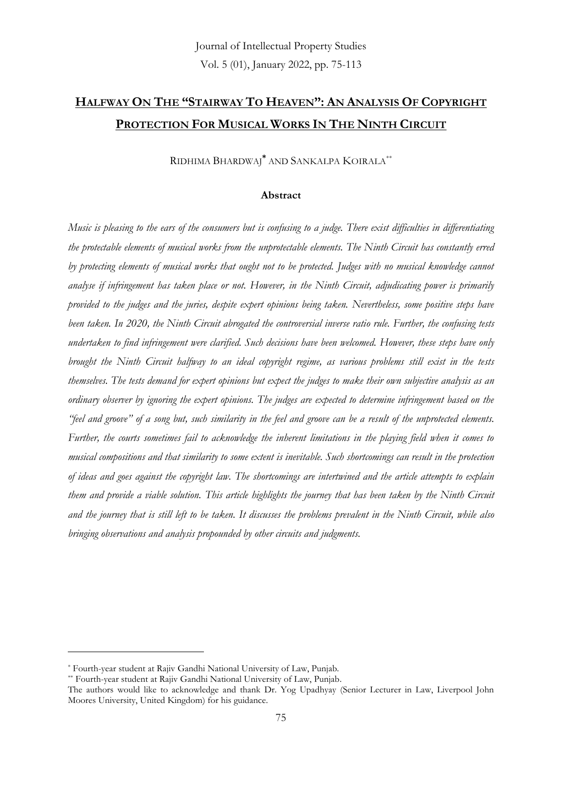# **HALFWAY ON THE "STAIRWAY TO HEAVEN": AN ANALYSIS OF COPYRIGHT PROTECTION FOR MUSICAL WORKS IN THE NINTH CIRCUIT**

RIDHIMA BHARDWAJ**\*** AND SANKALPA KOIRALA\*\*

#### **Abstract**

*Music is pleasing to the ears of the consumers but is confusing to a judge. There exist difficulties in differentiating the protectable elements of musical works from the unprotectable elements. The Ninth Circuit has constantly erred by protecting elements of musical works that ought not to be protected. Judges with no musical knowledge cannot analyse if infringement has taken place or not. However, in the Ninth Circuit, adjudicating power is primarily provided to the judges and the juries, despite expert opinions being taken. Nevertheless, some positive steps have been taken. In 2020, the Ninth Circuit abrogated the controversial inverse ratio rule. Further, the confusing tests undertaken to find infringement were clarified. Such decisions have been welcomed. However, these steps have only brought the Ninth Circuit halfway to an ideal copyright regime, as various problems still exist in the tests themselves. The tests demand for expert opinions but expect the judges to make their own subjective analysis as an ordinary observer by ignoring the expert opinions. The judges are expected to determine infringement based on the "feel and groove" of a song but, such similarity in the feel and groove can be a result of the unprotected elements. Further, the courts sometimes fail to acknowledge the inherent limitations in the playing field when it comes to musical compositions and that similarity to some extent is inevitable. Such shortcomings can result in the protection of ideas and goes against the copyright law. The shortcomings are intertwined and the article attempts to explain them and provide a viable solution. This article highlights the journey that has been taken by the Ninth Circuit and the journey that is still left to be taken. It discusses the problems prevalent in the Ninth Circuit, while also bringing observations and analysis propounded by other circuits and judgments.*

<sup>\*</sup> Fourth-year student at Rajiv Gandhi National University of Law, Punjab.

<sup>\*\*</sup> Fourth-year student at Rajiv Gandhi National University of Law, Punjab.

The authors would like to acknowledge and thank Dr. Yog Upadhyay (Senior Lecturer in Law, Liverpool John Moores University, United Kingdom) for his guidance.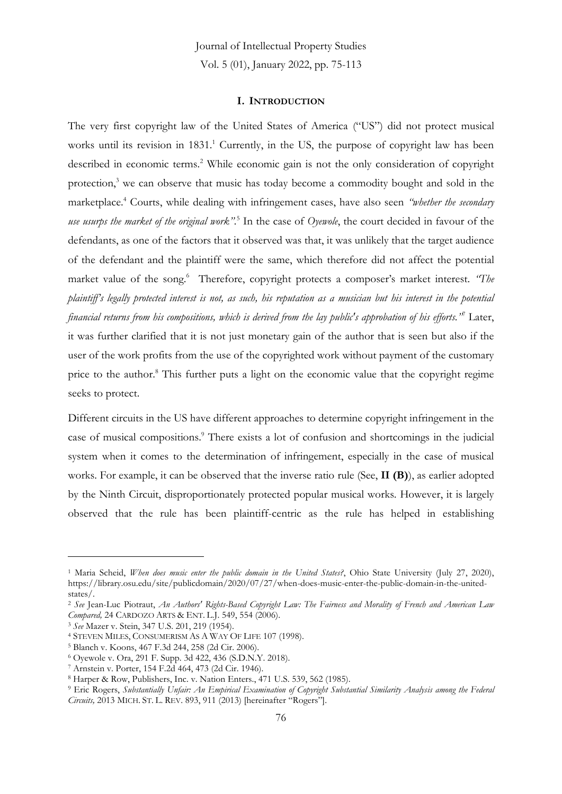#### **I. INTRODUCTION**

The very first copyright law of the United States of America ("US") did not protect musical works until its revision in 1831.<sup>1</sup> Currently, in the US, the purpose of copyright law has been described in economic terms.<sup>2</sup> While economic gain is not the only consideration of copyright protection,<sup>3</sup> we can observe that music has today become a commodity bought and sold in the marketplace.<sup>4</sup> Courts, while dealing with infringement cases, have also seen *"whether the secondary use usurps the market of the original work".*<sup>5</sup> In the case of *Oyewole*, the court decided in favour of the defendants, as one of the factors that it observed was that, it was unlikely that the target audience of the defendant and the plaintiff were the same, which therefore did not affect the potential market value of the song.<sup>6</sup> Therefore, copyright protects a composer's market interest. *'The plaintiff's legally protected interest is not, as such, his reputation as a musician but his interest in the potential financial returns from his compositions, which is derived from the lay public's approbation of his efforts."* <sup>7</sup> Later, it was further clarified that it is not just monetary gain of the author that is seen but also if the user of the work profits from the use of the copyrighted work without payment of the customary price to the author.<sup>8</sup> This further puts a light on the economic value that the copyright regime seeks to protect.

Different circuits in the US have different approaches to determine copyright infringement in the case of musical compositions.<sup>9</sup> There exists a lot of confusion and shortcomings in the judicial system when it comes to the determination of infringement, especially in the case of musical works. For example, it can be observed that the inverse ratio rule (See, **II (B)**), as earlier adopted by the Ninth Circuit, disproportionately protected popular musical works. However, it is largely observed that the rule has been plaintiff-centric as the rule has helped in establishing

<sup>&</sup>lt;sup>1</sup> Maria Scheid, *When does music enter the public domain in the United States?*, Ohio State University (July 27, 2020), https://library.osu.edu/site/publicdomain/2020/07/27/when-does-music-enter-the-public-domain-in-the-unitedstates/.

<sup>2</sup> *See* Jean-Luc Piotraut, *An Authors' Rights-Based Copyright Law: The Fairness and Morality of French and American Law Compared,* 24 CARDOZO ARTS & ENT. L.J. 549, 554 (2006).

<sup>3</sup> *See* Mazer v. Stein, 347 U.S. 201, 219 (1954).

<sup>4</sup> STEVEN MILES, CONSUMERISM AS A WAY OF LIFE 107 (1998).

<sup>5</sup> Blanch v. Koons, 467 F.3d 244, 258 (2d Cir. 2006).

<sup>6</sup> Oyewole v. Ora, 291 F. Supp. 3d 422, 436 (S.D.N.Y. 2018).

<sup>7</sup> Arnstein v. Porter, 154 F.2d 464, 473 (2d Cir. 1946).

<sup>8</sup> Harper & Row, Publishers, Inc. v. Nation Enters., 471 U.S. 539, 562 (1985).

<sup>9</sup> Eric Rogers, *Substantially Unfair: An Empirical Examination of Copyright Substantial Similarity Analysis among the Federal Circuits,* 2013 MICH. ST. L. REV. 893, 911 (2013) [hereinafter "Rogers"].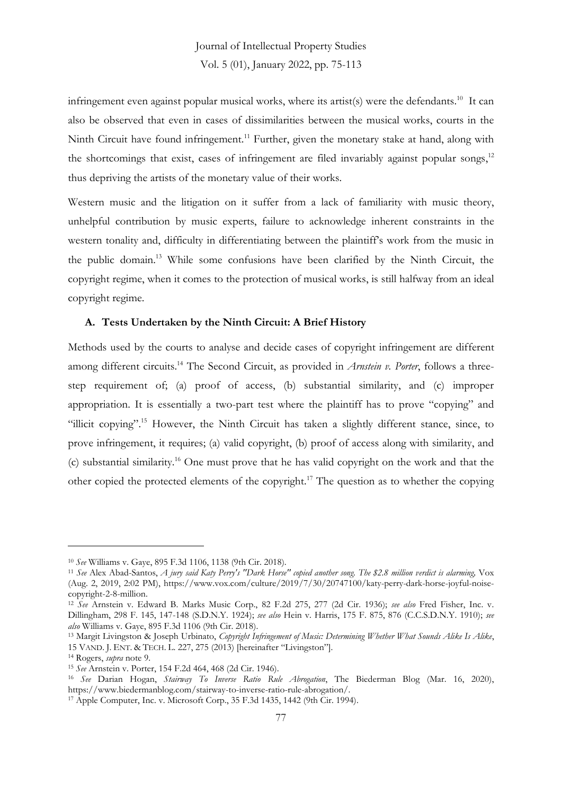infringement even against popular musical works, where its artist(s) were the defendants.<sup>10</sup> It can also be observed that even in cases of dissimilarities between the musical works, courts in the Ninth Circuit have found infringement.<sup>11</sup> Further, given the monetary stake at hand, along with the shortcomings that exist, cases of infringement are filed invariably against popular songs, $12$ thus depriving the artists of the monetary value of their works.

Western music and the litigation on it suffer from a lack of familiarity with music theory, unhelpful contribution by music experts, failure to acknowledge inherent constraints in the western tonality and, difficulty in differentiating between the plaintiff's work from the music in the public domain.<sup>13</sup> While some confusions have been clarified by the Ninth Circuit, the copyright regime, when it comes to the protection of musical works, is still halfway from an ideal copyright regime.

#### **A. Tests Undertaken by the Ninth Circuit: A Brief History**

Methods used by the courts to analyse and decide cases of copyright infringement are different among different circuits.<sup>14</sup> The Second Circuit, as provided in *Arnstein v. Porter*, follows a threestep requirement of; (a) proof of access, (b) substantial similarity, and (c) improper appropriation. It is essentially a two-part test where the plaintiff has to prove "copying" and "illicit copying".<sup>15</sup> However, the Ninth Circuit has taken a slightly different stance, since, to prove infringement, it requires; (a) valid copyright, (b) proof of access along with similarity, and (c) substantial similarity.<sup>16</sup> One must prove that he has valid copyright on the work and that the other copied the protected elements of the copyright.<sup>17</sup> The question as to whether the copying

<sup>10</sup> *See* Williams v. Gaye, 895 F.3d 1106, 1138 (9th Cir. 2018).

<sup>11</sup> *See* Alex Abad-Santos, *A jury said Katy Perry's "Dark Horse" copied another song. The \$2.8 million verdict is alarming,* Vox (Aug. 2, 2019, 2:02 PM), https://www.vox.com/culture/2019/7/30/20747100/katy-perry-dark-horse-joyful-noisecopyright-2-8-million.

<sup>12</sup> *See* Arnstein v. Edward B. Marks Music Corp., 82 F.2d 275, 277 (2d Cir. 1936); *see also* Fred Fisher, Inc. v. Dillingham, 298 F. 145, 147-148 (S.D.N.Y. 1924); *see also* Hein v. Harris, 175 F. 875, 876 (C.C.S.D.N.Y. 1910); *see also* Williams v. Gaye, 895 F.3d 1106 (9th Cir. 2018).

<sup>13</sup> Margit Livingston & Joseph Urbinato, *Copyright Infringement of Music: Determining Whether What Sounds Alike Is Alike*, 15 VAND. J. ENT. & TECH. L. 227, 275 (2013) [hereinafter "Livingston"].

<sup>14</sup> Rogers, *supra* note 9.

<sup>15</sup> *See* Arnstein v. Porter, 154 F.2d 464, 468 (2d Cir. 1946).

<sup>16</sup> *See* Darian Hogan, *Stairway To Inverse Ratio Rule Abrogation*, The Biederman Blog (Mar. 16, 2020), https://www.biedermanblog.com/stairway-to-inverse-ratio-rule-abrogation/.

<sup>17</sup> Apple Computer, Inc. v. Microsoft Corp., 35 F.3d 1435, 1442 (9th Cir. 1994).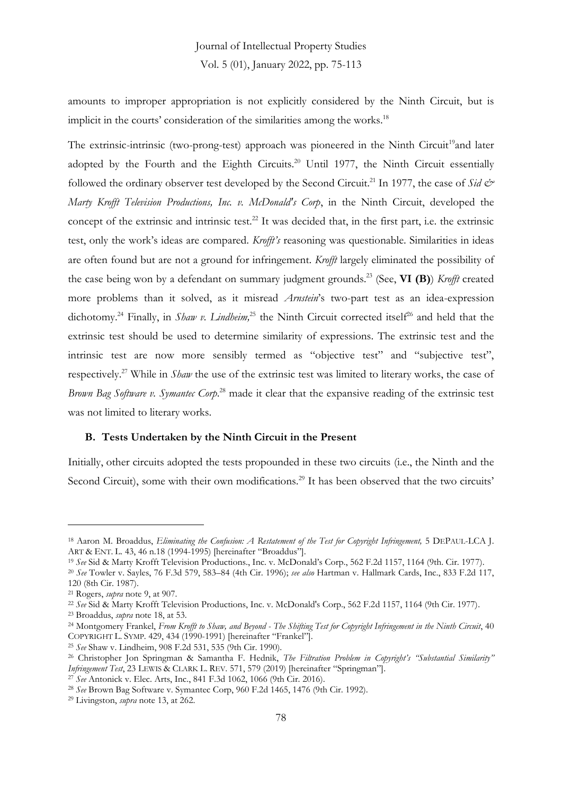amounts to improper appropriation is not explicitly considered by the Ninth Circuit, but is implicit in the courts' consideration of the similarities among the works.<sup>18</sup>

The extrinsic-intrinsic (two-prong-test) approach was pioneered in the Ninth Circuit<sup>19</sup>and later adopted by the Fourth and the Eighth Circuits.<sup>20</sup> Until 1977, the Ninth Circuit essentially followed the ordinary observer test developed by the Second Circuit.<sup>21</sup> In 1977, the case of *Sid & Marty Krofft Television Productions, Inc. v. McDonald's Corp*, in the Ninth Circuit, developed the concept of the extrinsic and intrinsic test.<sup>22</sup> It was decided that, in the first part, i.e. the extrinsic test, only the work's ideas are compared. *Krofft's* reasoning was questionable. Similarities in ideas are often found but are not a ground for infringement. *Krofft* largely eliminated the possibility of the case being won by a defendant on summary judgment grounds.<sup>23</sup> (See, **VI (B)**) *Krofft* created more problems than it solved, as it misread *Arnstein*'s two-part test as an idea-expression dichotomy.<sup>24</sup> Finally, in *Shaw v. Lindheim*,<sup>25</sup> the Ninth Circuit corrected itself<sup>26</sup> and held that the extrinsic test should be used to determine similarity of expressions. The extrinsic test and the intrinsic test are now more sensibly termed as "objective test" and "subjective test", respectively.<sup>27</sup> While in *Shaw* the use of the extrinsic test was limited to literary works, the case of *Brown Bag Software v. Symantec Corp*. <sup>28</sup> made it clear that the expansive reading of the extrinsic test was not limited to literary works.

#### **B. Tests Undertaken by the Ninth Circuit in the Present**

Initially, other circuits adopted the tests propounded in these two circuits (i.e., the Ninth and the Second Circuit), some with their own modifications.<sup>29</sup> It has been observed that the two circuits'

<sup>18</sup> Aaron M. Broaddus, *Eliminating the Confusion: A Restatement of the Test for Copyright Infringement,* 5 DEPAUL-LCA J. ART & ENT. L. 43, 46 n.18 (1994-1995) [hereinafter "Broaddus"].

<sup>19</sup> *See* Sid & Marty Krofft Television Productions., Inc. v. McDonald's Corp., 562 F.2d 1157, 1164 (9th. Cir. 1977).

<sup>20</sup> *See* Towler v. Sayles, 76 F.3d 579, 583–84 (4th Cir. 1996); *see also* Hartman v. Hallmark Cards, Inc., 833 F.2d 117, 120 (8th Cir. 1987).

<sup>21</sup> Rogers, *supra* note 9, at 907.

<sup>22</sup> *See* Sid & Marty Krofft Television Productions, Inc. v. McDonald's Corp., 562 F.2d 1157, 1164 (9th Cir. 1977).

<sup>23</sup> Broaddus, *supra* note 18, at 53.

<sup>24</sup> Montgomery Frankel, *From Krofft to Shaw, and Beyond - The Shifting Test for Copyright Infringement in the Ninth Circuit*, 40 COPYRIGHT L. SYMP. 429, 434 (1990-1991) [hereinafter "Frankel"].

<sup>25</sup> *See* Shaw v. Lindheim, 908 F.2d 531, 535 (9th Cir. 1990).

<sup>26</sup> Christopher Jon Springman & Samantha F. Hednik, *The Filtration Problem in Copyright's "Substantial Similarity" Infringement Test*, 23 LEWIS & CLARK L. REV. 571, 579 (2019) [hereinafter "Springman"].

<sup>&</sup>lt;sup>27</sup> See Antonick v. Elec. Arts, Inc., 841 F.3d 1062, 1066 (9th Cir. 2016).

<sup>28</sup> *See* Brown Bag Software v. Symantec Corp, 960 F.2d 1465, 1476 (9th Cir. 1992).

<sup>29</sup> Livingston, *supra* note 13, at 262.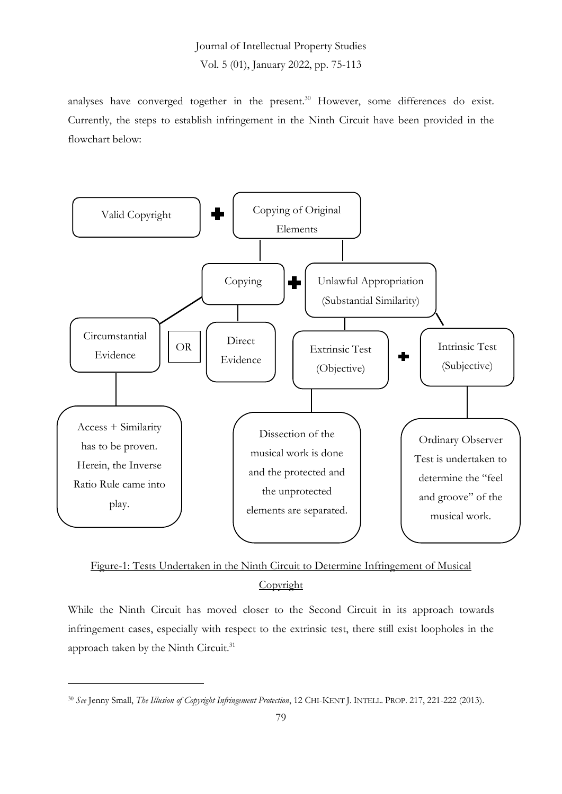analyses have converged together in the present.<sup>30</sup> However, some differences do exist. Currently, the steps to establish infringement in the Ninth Circuit have been provided in the flowchart below:



Figure-1: Tests Undertaken in the Ninth Circuit to Determine Infringement of Musical Copyright

While the Ninth Circuit has moved closer to the Second Circuit in its approach towards infringement cases, especially with respect to the extrinsic test, there still exist loopholes in the approach taken by the Ninth Circuit.<sup>31</sup>

<sup>30</sup> *See* Jenny Small, *The Illusion of Copyright Infringement Protection*, 12 CHI-KENT J. INTELL. PROP. 217, 221-222 (2013).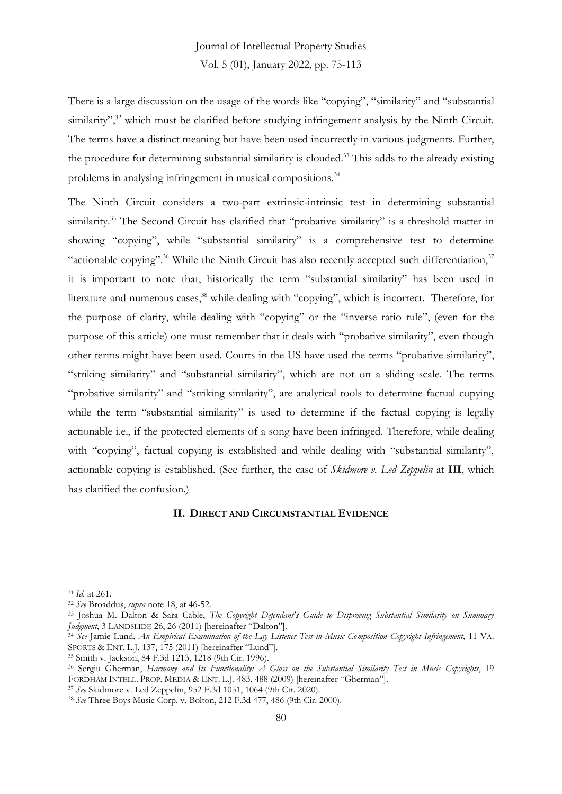There is a large discussion on the usage of the words like "copying", "similarity" and "substantial similarity",<sup>32</sup> which must be clarified before studying infringement analysis by the Ninth Circuit. The terms have a distinct meaning but have been used incorrectly in various judgments. Further, the procedure for determining substantial similarity is clouded.<sup>33</sup> This adds to the already existing problems in analysing infringement in musical compositions.<sup>34</sup>

The Ninth Circuit considers a two-part extrinsic-intrinsic test in determining substantial similarity.<sup>35</sup> The Second Circuit has clarified that "probative similarity" is a threshold matter in showing "copying", while "substantial similarity" is a comprehensive test to determine "actionable copying".<sup>36</sup> While the Ninth Circuit has also recently accepted such differentiation, $37$ it is important to note that, historically the term "substantial similarity" has been used in literature and numerous cases,<sup>38</sup> while dealing with "copying", which is incorrect. Therefore, for the purpose of clarity, while dealing with "copying" or the "inverse ratio rule", (even for the purpose of this article) one must remember that it deals with "probative similarity", even though other terms might have been used. Courts in the US have used the terms "probative similarity", "striking similarity" and "substantial similarity", which are not on a sliding scale. The terms "probative similarity" and "striking similarity", are analytical tools to determine factual copying while the term "substantial similarity" is used to determine if the factual copying is legally actionable i.e., if the protected elements of a song have been infringed. Therefore, while dealing with "copying", factual copying is established and while dealing with "substantial similarity", actionable copying is established. (See further, the case of *Skidmore v. Led Zeppelin* at **III**, which has clarified the confusion.)

#### **II. DIRECT AND CIRCUMSTANTIAL EVIDENCE**

<sup>31</sup> *Id.* at 261.

<sup>32</sup> *See* Broaddus, *supra* note 18, at 46-52.

<sup>33</sup> Joshua M. Dalton & Sara Cable, *The Copyright Defendant's Guide to Disproving Substantial Similarity on Summary Judgment*, 3 LANDSLIDE 26, 26 (2011) [hereinafter "Dalton"].

<sup>34</sup> *See* Jamie Lund, *An Empirical Examination of the Lay Listener Test in Music Composition Copyright Infringement*, 11 VA. SPORTS & ENT. L.J. 137, 175 (2011) [hereinafter "Lund"].

<sup>35</sup> Smith v. Jackson, 84 F.3d 1213, 1218 (9th Cir. 1996).

<sup>36</sup> Sergiu Gherman, *Harmony and Its Functionality: A Gloss on the Substantial Similarity Test in Music Copyrights*, 19 FORDHAM INTELL. PROP. MEDIA & ENT. L.J. 483, 488 (2009) [hereinafter "Gherman"].

<sup>37</sup> *See* Skidmore v. Led Zeppelin, 952 F.3d 1051, 1064 (9th Cir. 2020).

<sup>38</sup> *See* Three Boys Music Corp. v. Bolton, 212 F.3d 477, 486 (9th Cir. 2000).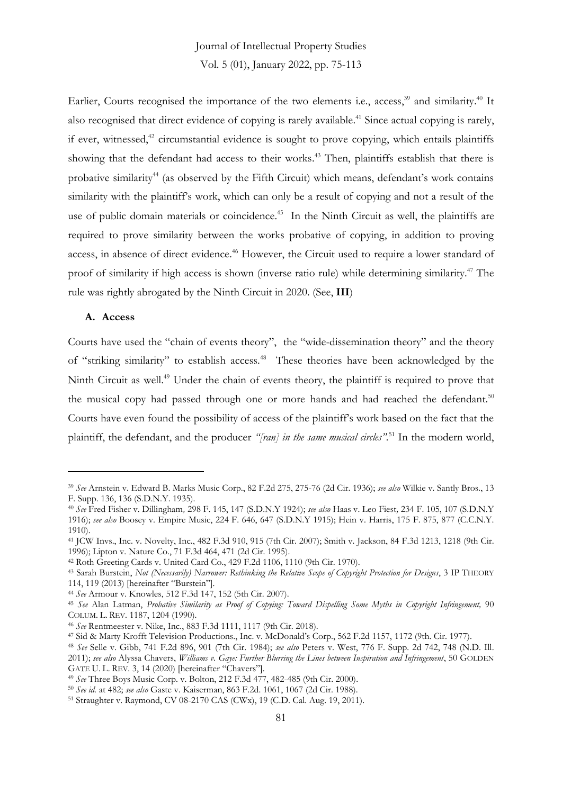Earlier, Courts recognised the importance of the two elements i.e., access,<sup>39</sup> and similarity.<sup>40</sup> It also recognised that direct evidence of copying is rarely available. <sup>41</sup> Since actual copying is rarely, if ever, witnessed, $42$  circumstantial evidence is sought to prove copying, which entails plaintiffs showing that the defendant had access to their works. <sup>43</sup> Then, plaintiffs establish that there is probative similarity<sup>44</sup> (as observed by the Fifth Circuit) which means, defendant's work contains similarity with the plaintiff's work, which can only be a result of copying and not a result of the use of public domain materials or coincidence.<sup>45</sup> In the Ninth Circuit as well, the plaintiffs are required to prove similarity between the works probative of copying, in addition to proving access, in absence of direct evidence.<sup>46</sup> However, the Circuit used to require a lower standard of proof of similarity if high access is shown (inverse ratio rule) while determining similarity.<sup>47</sup> The rule was rightly abrogated by the Ninth Circuit in 2020. (See, **III**)

#### **A. Access**

Courts have used the "chain of events theory", the "wide-dissemination theory" and the theory of "striking similarity" to establish access.<sup>48</sup> These theories have been acknowledged by the Ninth Circuit as well.<sup>49</sup> Under the chain of events theory, the plaintiff is required to prove that the musical copy had passed through one or more hands and had reached the defendant.<sup>50</sup> Courts have even found the possibility of access of the plaintiff's work based on the fact that the plaintiff, the defendant, and the producer *"[ran] in the same musical circles".*<sup>51</sup> In the modern world,

<sup>39</sup> *See* Arnstein v. Edward B. Marks Music Corp., 82 F.2d 275, 275-76 (2d Cir. 1936); *see also* Wilkie v. Santly Bros., 13 F. Supp. 136, 136 (S.D.N.Y. 1935).

<sup>40</sup> *See* Fred Fisher v. Dillingham*,* 298 F. 145, 147 (S.D.N.Y 1924); *see also* Haas v. Leo Fiest*,* 234 F. 105, 107 (S.D.N.Y 1916); *see also* Boosey v. Empire Music, 224 F. 646, 647 (S.D.N.Y 1915); Hein v. Harris, 175 F. 875, 877 (C.C.N.Y. 1910).

<sup>41</sup> JCW Invs., Inc. v. Novelty, Inc., 482 F.3d 910, 915 (7th Cir. 2007); Smith v. Jackson, 84 F.3d 1213, 1218 (9th Cir. 1996); Lipton v. Nature Co., 71 F.3d 464, 471 (2d Cir. 1995).

<sup>42</sup> Roth Greeting Cards v. United Card Co., 429 F.2d 1106, 1110 (9th Cir. 1970).

<sup>43</sup> Sarah Burstein, *Not (Necessarily) Narrower: Rethinking the Relative Scope of Copyright Protection for Designs*, 3 IP THEORY 114, 119 (2013) [hereinafter "Burstein"].

<sup>44</sup> *See* Armour v. Knowles, 512 F.3d 147, 152 (5th Cir. 2007).

<sup>45</sup> *See* Alan Latman, *Probative Similarity as Proof of Copying: Toward Dispelling Some Myths in Copyright Infringement,* 90 COLUM. L. REV. 1187, 1204 (1990).

<sup>46</sup> *See* Rentmeester v. Nike, Inc*.*, 883 F.3d 1111, 1117 (9th Cir. 2018).

<sup>47</sup> Sid & Marty Krofft Television Productions., Inc. v. McDonald's Corp., 562 F.2d 1157, 1172 (9th. Cir. 1977).

<sup>48</sup> *See* Selle v. Gibb, 741 F.2d 896, 901 (7th Cir. 1984); *see also* Peters v. West, 776 F. Supp. 2d 742, 748 (N.D. Ill. 2011); *see also* Alyssa Chavers, *Williams v. Gaye: Further Blurring the Lines between Inspiration and Infringement*, 50 GOLDEN

GATE U. L. REV. 3, 14 (2020) [hereinafter "Chavers"].

<sup>49</sup> *See* Three Boys Music Corp. v. Bolton, 212 F.3d 477, 482-485 (9th Cir. 2000).

<sup>50</sup> *See id.* at 482; *see also* Gaste v. Kaiserman, 863 F.2d. 1061, 1067 (2d Cir. 1988).

<sup>51</sup> Straughter v. Raymond, CV 08-2170 CAS (CWx), 19 (C.D. Cal. Aug. 19, 2011).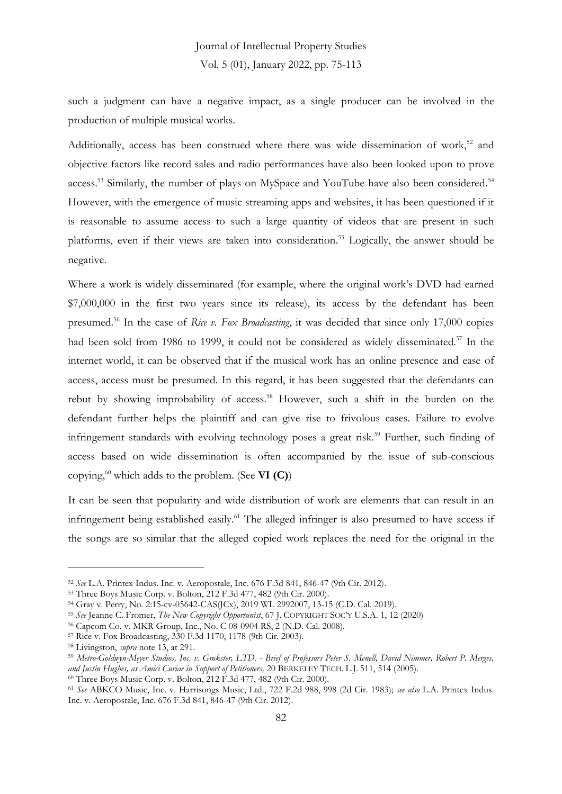such a judgment can have a negative impact, as a single producer can be involved in the production of multiple musical works.

Additionally, access has been construed where there was wide dissemination of work,<sup>52</sup> and objective factors like record sales and radio performances have also been looked upon to prove access.<sup>53</sup> Similarly, the number of plays on MySpace and YouTube have also been considered.<sup>54</sup> However, with the emergence of music streaming apps and websites, it has been questioned if it is reasonable to assume access to such a large quantity of videos that are present in such platforms, even if their views are taken into consideration.<sup>55</sup> Logically, the answer should be negative.

Where a work is widely disseminated (for example, where the original work's DVD had earned \$7,000,000 in the first two years since its release), its access by the defendant has been presumed.<sup>56</sup> In the case of *Rice v. Fox Broadcasting*, it was decided that since only 17,000 copies had been sold from 1986 to 1999, it could not be considered as widely disseminated.<sup>57</sup> In the internet world, it can be observed that if the musical work has an online presence and ease of access, access must be presumed. In this regard, it has been suggested that the defendants can rebut by showing improbability of access.<sup>58</sup> However, such a shift in the burden on the defendant further helps the plaintiff and can give rise to frivolous cases. Failure to evolve infringement standards with evolving technology poses a great risk.<sup>59</sup> Further, such finding of access based on wide dissemination is often accompanied by the issue of sub-conscious copying,<sup>60</sup> which adds to the problem. (See **VI (C)**)

It can be seen that popularity and wide distribution of work are elements that can result in an infringement being established easily.<sup>61</sup> The alleged infringer is also presumed to have access if the songs are so similar that the alleged copied work replaces the need for the original in the

<sup>52</sup> *See* L.A. Printex Indus. Inc. v. Aeropostale, Inc. 676 F.3d 841, 846-47 (9th Cir. 2012).

<sup>53</sup> Three Boys Music Corp. v. Bolton, 212 F.3d 477, 482 (9th Cir. 2000).

<sup>54</sup> Gray v. Perry, No. 2:15-cv-05642-CAS(JCx), 2019 WL 2992007, 13-15 (C.D. Cal. 2019).

<sup>55</sup> *See* Jeanne C. Fromer, *The New Copyright Opportunist*, 67 J. COPYRIGHT SOC'Y U.S.A. 1, 12 (2020)

<sup>56</sup> Capcom Co. v. MKR Group, Inc., No. C 08-0904 RS, 2 (N.D. Cal. 2008).

<sup>57</sup> Rice v. Fox Broadcasting, 330 F.3d 1170, 1178 (9th Cir. 2003).

<sup>58</sup> Livingston, *supra* note 13, at 291.

<sup>59</sup> *Metro-Goldwyn-Meyer Studios, Inc. v. Grokster, LTD. - Brief of Professors Peter S. Menell, David Nimmer, Robert P. Merges, and Justin Hughes, as Amici Curiae in Support of Petitioners,* 20 BERKELEY TECH. L.J. 511, 514 (2005).

<sup>&</sup>lt;sup>60</sup> Three Boys Music Corp. v. Bolton, 212 F.3d 477, 482 (9th Cir. 2000).

<sup>61</sup> *See* ABKCO Music, Inc. v. Harrisongs Music, Ltd., 722 F.2d 988, 998 (2d Cir. 1983); *see also* L.A. Printex Indus. Inc. v. Aeropostale, Inc. 676 F.3d 841, 846-47 (9th Cir. 2012).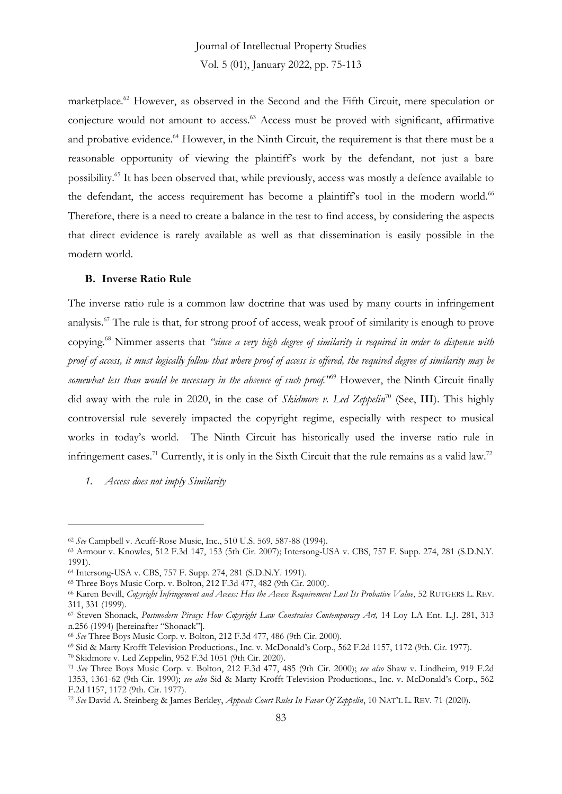marketplace.<sup>62</sup> However, as observed in the Second and the Fifth Circuit, mere speculation or conjecture would not amount to access.<sup>63</sup> Access must be proved with significant, affirmative and probative evidence.<sup>64</sup> However, in the Ninth Circuit, the requirement is that there must be a reasonable opportunity of viewing the plaintiff's work by the defendant, not just a bare possibility.<sup>65</sup> It has been observed that, while previously, access was mostly a defence available to the defendant, the access requirement has become a plaintiff's tool in the modern world.<sup>66</sup> Therefore, there is a need to create a balance in the test to find access, by considering the aspects that direct evidence is rarely available as well as that dissemination is easily possible in the modern world.

#### **B. Inverse Ratio Rule**

The inverse ratio rule is a common law doctrine that was used by many courts in infringement analysis.<sup>67</sup> The rule is that, for strong proof of access, weak proof of similarity is enough to prove copying.<sup>68</sup> Nimmer asserts that *"since a very high degree of similarity is required in order to dispense with proof of access, it must logically follow that where proof of access is offered, the required degree of similarity may be somewhat less than would be necessary in the absence of such proof."*<sup>69</sup> However, the Ninth Circuit finally did away with the rule in 2020, in the case of *Skidmore v. Led Zeppelin*<sup>70</sup> (See, **III**). This highly controversial rule severely impacted the copyright regime, especially with respect to musical works in today's world. The Ninth Circuit has historically used the inverse ratio rule in infringement cases.<sup>71</sup> Currently, it is only in the Sixth Circuit that the rule remains as a valid law.<sup>72</sup>

*1. Access does not imply Similarity* 

<sup>62</sup> *See* Campbell v. Acuff-Rose Music, Inc., 510 U.S. 569, 587-88 (1994).

<sup>63</sup> Armour v. Knowles, 512 F.3d 147, 153 (5th Cir. 2007); Intersong-USA v. CBS, 757 F. Supp. 274, 281 (S.D.N.Y. 1991).

<sup>64</sup> Intersong-USA v. CBS, 757 F. Supp. 274, 281 (S.D.N.Y. 1991).

<sup>65</sup> Three Boys Music Corp. v. Bolton, 212 F.3d 477, 482 (9th Cir. 2000).

<sup>66</sup> Karen Bevill, *Copyright Infringement and Access: Has the Access Requirement Lost Its Probative Value*, 52 RUTGERS L. REV. 311, 331 (1999).

<sup>67</sup> Steven Shonack, *Postmodern Piracy: How Copyright Law Constrains Contemporary Art,* 14 Loy LA Ent. L.J. 281, 313 n.256 (1994) [hereinafter "Shonack"].

<sup>68</sup> *See* Three Boys Music Corp. v. Bolton, 212 F.3d 477, 486 (9th Cir. 2000).

<sup>69</sup> Sid & Marty Krofft Television Productions., Inc. v. McDonald's Corp., 562 F.2d 1157, 1172 (9th. Cir. 1977).

<sup>70</sup> Skidmore v. Led Zeppelin, 952 F.3d 1051 (9th Cir. 2020).

<sup>71</sup> *See* Three Boys Music Corp. v. Bolton, 212 F.3d 477, 485 (9th Cir. 2000); *see also* Shaw v. Lindheim, 919 F.2d 1353, 1361-62 (9th Cir. 1990); *see also* Sid & Marty Krofft Television Productions., Inc. v. McDonald's Corp., 562 F.2d 1157, 1172 (9th. Cir. 1977).

<sup>72</sup> *See* David A. Steinberg & James Berkley, *Appeals Court Rules In Favor Of Zeppelin*, 10 NAT'L L. REV. 71 (2020).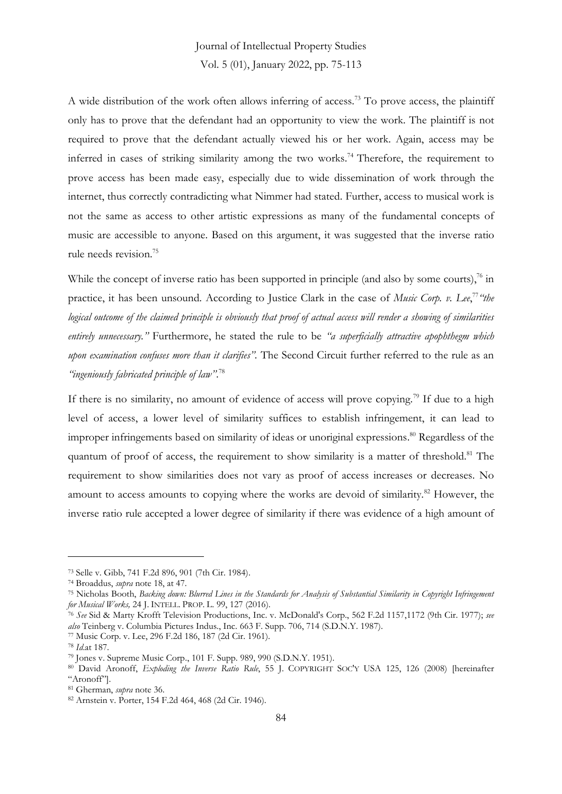A wide distribution of the work often allows inferring of access.<sup>73</sup> To prove access, the plaintiff only has to prove that the defendant had an opportunity to view the work. The plaintiff is not required to prove that the defendant actually viewed his or her work. Again, access may be inferred in cases of striking similarity among the two works.<sup>74</sup> Therefore, the requirement to prove access has been made easy, especially due to wide dissemination of work through the internet, thus correctly contradicting what Nimmer had stated. Further, access to musical work is not the same as access to other artistic expressions as many of the fundamental concepts of music are accessible to anyone. Based on this argument, it was suggested that the inverse ratio rule needs revision.<sup>75</sup>

While the concept of inverse ratio has been supported in principle (and also by some courts), $\frac{7}{6}$  in practice, it has been unsound. According to Justice Clark in the case of *Music Corp. v. Lee*, 77 *"the logical outcome of the claimed principle is obviously that proof of actual access will render a showing of similarities entirely unnecessary."* Furthermore, he stated the rule to be *"a superficially attractive apophthegm which upon examination confuses more than it clarifies".* The Second Circuit further referred to the rule as an *"ingeniously fabricated principle of law"*. 78

If there is no similarity, no amount of evidence of access will prove copying.<sup>79</sup> If due to a high level of access, a lower level of similarity suffices to establish infringement, it can lead to improper infringements based on similarity of ideas or unoriginal expressions. <sup>80</sup> Regardless of the quantum of proof of access, the requirement to show similarity is a matter of threshold.<sup>81</sup> The requirement to show similarities does not vary as proof of access increases or decreases. No amount to access amounts to copying where the works are devoid of similarity.<sup>82</sup> However, the inverse ratio rule accepted a lower degree of similarity if there was evidence of a high amount of

<sup>73</sup> Selle v. Gibb, 741 F.2d 896, 901 (7th Cir. 1984).

<sup>74</sup> Broaddus, *supra* note 18, at 47.

<sup>75</sup> Nicholas Booth, *Backing down: Blurred Lines in the Standards for Analysis of Substantial Similarity in Copyright Infringement for Musical Works,* 24 J. INTELL. PROP. L. 99, 127 (2016).

<sup>76</sup> *See* Sid & Marty Krofft Television Productions, Inc. v. McDonald's Corp., 562 F.2d 1157,1172 (9th Cir. 1977); *see also* Teinberg v. Columbia Pictures Indus., Inc. 663 F. Supp. 706, 714 (S.D.N.Y. 1987).

<sup>77</sup> Music Corp. v. Lee, 296 F.2d 186, 187 (2d Cir. 1961).

<sup>78</sup> *Id*.at 187.

<sup>79</sup> Jones v. Supreme Music Corp., 101 F. Supp. 989, 990 (S.D.N.Y. 1951).

<sup>80</sup> David Aronoff, *Exploding the Inverse Ratio Rule*, 55 J. COPYRIGHT SOC'Y USA 125, 126 (2008) [hereinafter "Aronoff"].

<sup>81</sup> Gherman, *supra* note 36.

<sup>82</sup> Arnstein v. Porter, 154 F.2d 464, 468 (2d Cir. 1946).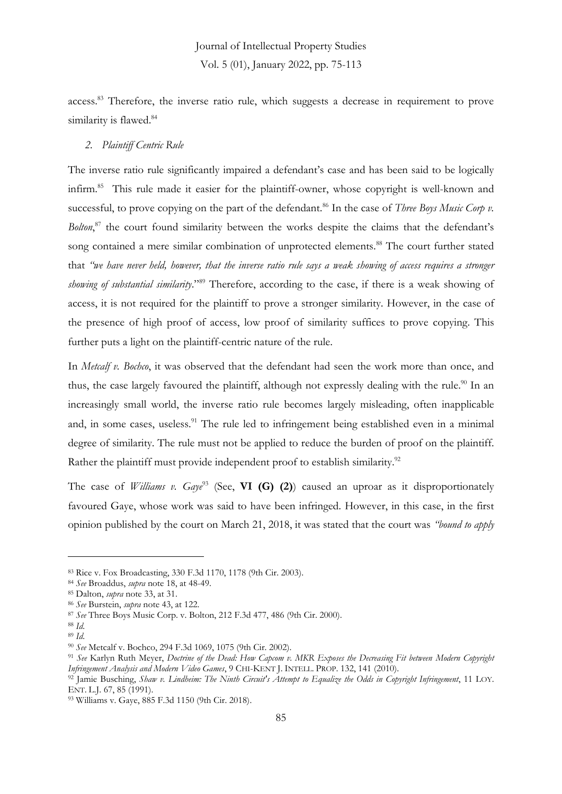access.<sup>83</sup> Therefore, the inverse ratio rule, which suggests a decrease in requirement to prove similarity is flawed.<sup>84</sup>

#### *2. Plaintiff Centric Rule*

The inverse ratio rule significantly impaired a defendant's case and has been said to be logically infirm.<sup>85</sup> This rule made it easier for the plaintiff-owner, whose copyright is well-known and successful, to prove copying on the part of the defendant.<sup>86</sup> In the case of *Three Boys Music Corp v*. *Bolton*, <sup>87</sup> the court found similarity between the works despite the claims that the defendant's song contained a mere similar combination of unprotected elements.<sup>88</sup> The court further stated that *"we have never held, however, that the inverse ratio rule says a weak showing of access requires a stronger showing of substantial similarity*."<sup>89</sup> Therefore, according to the case, if there is a weak showing of access, it is not required for the plaintiff to prove a stronger similarity. However, in the case of the presence of high proof of access, low proof of similarity suffices to prove copying. This further puts a light on the plaintiff-centric nature of the rule.

In *Metcalf v. Bochco*, it was observed that the defendant had seen the work more than once, and thus, the case largely favoured the plaintiff, although not expressly dealing with the rule.<sup>90</sup> In an increasingly small world, the inverse ratio rule becomes largely misleading, often inapplicable and, in some cases, useless.<sup>91</sup> The rule led to infringement being established even in a minimal degree of similarity. The rule must not be applied to reduce the burden of proof on the plaintiff. Rather the plaintiff must provide independent proof to establish similarity.<sup>92</sup>

The case of *Williams v. Gaye*<sup>93</sup> (See, **VI (G) (2)**) caused an uproar as it disproportionately favoured Gaye, whose work was said to have been infringed. However, in this case, in the first opinion published by the court on March 21, 2018, it was stated that the court was *"bound to apply* 

<sup>83</sup> Rice v. Fox Broadcasting, 330 F.3d 1170, 1178 (9th Cir. 2003).

<sup>84</sup> *See* Broaddus, *supra* note 18, at 48-49.

<sup>85</sup> Dalton, *supra* note 33, at 31.

<sup>86</sup> *See* Burstein, *supra* note 43, at 122.

<sup>87</sup> *See* Three Boys Music Corp. v. Bolton, 212 F.3d 477, 486 (9th Cir. 2000).

<sup>88</sup> *Id.*

<sup>89</sup> *Id.*

<sup>90</sup> *See* Metcalf v. Bochco, 294 F.3d 1069, 1075 (9th Cir. 2002).

<sup>91</sup> *See* Karlyn Ruth Meyer, *Doctrine of the Dead: How Capcom v. MKR Exposes the Decreasing Fit between Modern Copyright Infringement Analysis and Modern Video Games*, 9 CHI-KENT J. INTELL. PROP. 132, 141 (2010).

<sup>92</sup> Jamie Busching, *Shaw v. Lindheim: The Ninth Circuit's Attempt to Equalize the Odds in Copyright Infringement*, 11 LOY. ENT. L.J. 67, 85 (1991).

<sup>93</sup> Williams v. Gaye, 885 F.3d 1150 (9th Cir. 2018).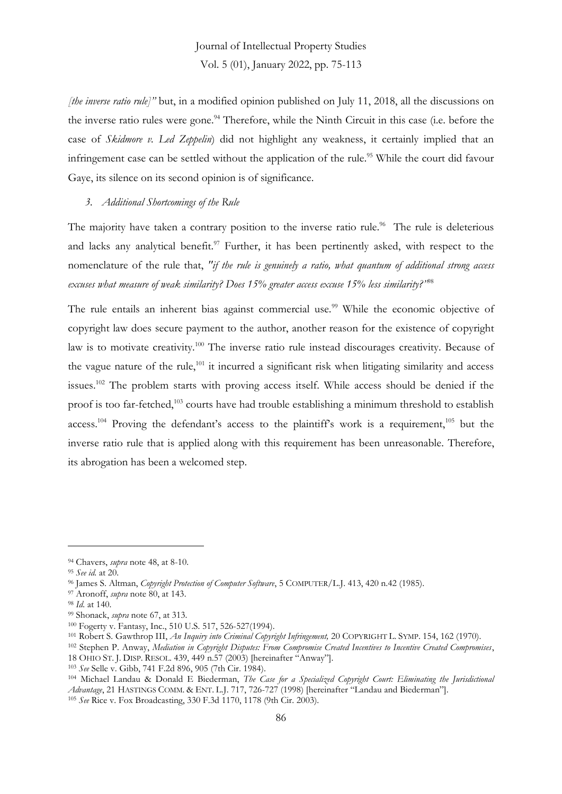*[the inverse ratio rule]"* but, in a modified opinion published on July 11, 2018, all the discussions on the inverse ratio rules were gone.<sup>94</sup> Therefore, while the Ninth Circuit in this case (i.e. before the case of *Skidmore v. Led Zeppelin*) did not highlight any weakness, it certainly implied that an infringement case can be settled without the application of the rule. <sup>95</sup> While the court did favour Gaye, its silence on its second opinion is of significance.

#### *3. Additional Shortcomings of the Rule*

The majority have taken a contrary position to the inverse ratio rule.<sup>96</sup> The rule is deleterious and lacks any analytical benefit.<sup>97</sup> Further, it has been pertinently asked, with respect to the nomenclature of the rule that, *"if the rule is genuinely a ratio, what quantum of additional strong access excuses what measure of weak similarity? Does 15% greater access excuse 15% less similarity?"*<sup>98</sup>

The rule entails an inherent bias against commercial use.<sup>99</sup> While the economic objective of copyright law does secure payment to the author, another reason for the existence of copyright law is to motivate creativity.<sup>100</sup> The inverse ratio rule instead discourages creativity. Because of the vague nature of the rule, $101$  it incurred a significant risk when litigating similarity and access issues.<sup>102</sup> The problem starts with proving access itself. While access should be denied if the proof is too far-fetched,<sup>103</sup> courts have had trouble establishing a minimum threshold to establish access.<sup>104</sup> Proving the defendant's access to the plaintiff's work is a requirement,<sup>105</sup> but the inverse ratio rule that is applied along with this requirement has been unreasonable. Therefore, its abrogation has been a welcomed step.

<sup>94</sup> Chavers, *supra* note 48, at 8-10.

<sup>95</sup> *See id.* at 20.

<sup>96</sup> James S. Altman, *Copyright Protection of Computer Software*, 5 COMPUTER/L.J. 413, 420 n.42 (1985).

<sup>97</sup> Aronoff, *supra* note 80, at 143.

<sup>98</sup> *Id.* at 140.

<sup>99</sup> Shonack, *supra* note 67, at 313.

<sup>100</sup> Fogerty v. Fantasy, Inc., 510 U.S. 517, 526-527(1994).

<sup>101</sup> Robert S. Gawthrop III, *An Inquiry into Criminal Copyright Infringement,* 20 COPYRIGHT L. SYMP. 154, 162 (1970).

<sup>102</sup> Stephen P. Anway, *Mediation in Copyright Disputes: From Compromise Created Incentives to Incentive Created Compromises*,

<sup>18</sup> OHIO ST. J. DISP. RESOL. 439, 449 n.57 (2003) [hereinafter "Anway"].

<sup>103</sup> *See* Selle v. Gibb, 741 F.2d 896, 905 (7th Cir. 1984).

<sup>104</sup> Michael Landau & Donald E Biederman, *The Case for a Specialized Copyright Court: Eliminating the Jurisdictional Advantage*, 21 HASTINGS COMM. & ENT. L.J. 717, 726-727 (1998) [hereinafter "Landau and Biederman"]. <sup>105</sup> *See* Rice v. Fox Broadcasting, 330 F.3d 1170, 1178 (9th Cir. 2003).

<sup>86</sup>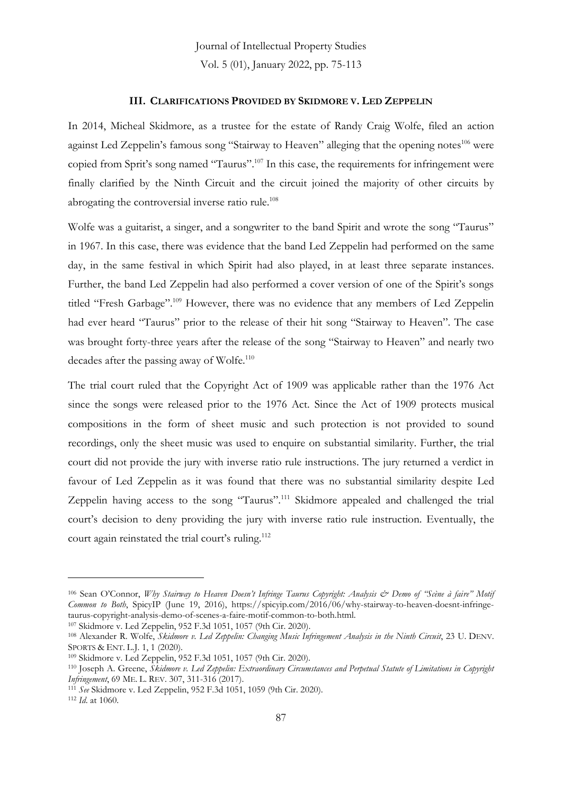#### **III. CLARIFICATIONS PROVIDED BY SKIDMORE V. LED ZEPPELIN**

In 2014, Micheal Skidmore, as a trustee for the estate of Randy Craig Wolfe, filed an action against Led Zeppelin's famous song "Stairway to Heaven" alleging that the opening notes<sup>106</sup> were copied from Sprit's song named "Taurus".<sup>107</sup> In this case, the requirements for infringement were finally clarified by the Ninth Circuit and the circuit joined the majority of other circuits by abrogating the controversial inverse ratio rule.<sup>108</sup>

Wolfe was a guitarist, a singer, and a songwriter to the band Spirit and wrote the song "Taurus" in 1967. In this case, there was evidence that the band Led Zeppelin had performed on the same day, in the same festival in which Spirit had also played, in at least three separate instances. Further, the band Led Zeppelin had also performed a cover version of one of the Spirit's songs titled "Fresh Garbage".<sup>109</sup> However, there was no evidence that any members of Led Zeppelin had ever heard "Taurus" prior to the release of their hit song "Stairway to Heaven". The case was brought forty-three years after the release of the song "Stairway to Heaven" and nearly two decades after the passing away of Wolfe.<sup>110</sup>

The trial court ruled that the Copyright Act of 1909 was applicable rather than the 1976 Act since the songs were released prior to the 1976 Act. Since the Act of 1909 protects musical compositions in the form of sheet music and such protection is not provided to sound recordings, only the sheet music was used to enquire on substantial similarity. Further, the trial court did not provide the jury with inverse ratio rule instructions. The jury returned a verdict in favour of Led Zeppelin as it was found that there was no substantial similarity despite Led Zeppelin having access to the song "Taurus".<sup>111</sup> Skidmore appealed and challenged the trial court's decision to deny providing the jury with inverse ratio rule instruction. Eventually, the court again reinstated the trial court's ruling.<sup>112</sup>

<sup>107</sup> Skidmore v. Led Zeppelin, 952 F.3d 1051, 1057 (9th Cir. 2020).

<sup>106</sup> Sean O'Connor, *Why Stairway to Heaven Doesn't Infringe Taurus Copyright: Analysis & Demo of "Scène à faire" Motif Common to Both*, SpicyIP (June 19, 2016), https://spicyip.com/2016/06/why-stairway-to-heaven-doesnt-infringetaurus-copyright-analysis-demo-of-scenes-a-faire-motif-common-to-both.html.

<sup>108</sup> Alexander R. Wolfe, *Skidmore v. Led Zeppelin: Changing Music Infringement Analysis in the Ninth Circuit*, 23 U. DENV. SPORTS & ENT. L.J. 1, 1 (2020).

<sup>109</sup> Skidmore v. Led Zeppelin, 952 F.3d 1051, 1057 (9th Cir. 2020).

<sup>110</sup> Joseph A. Greene, *Skidmore v. Led Zeppelin: Extraordinary Circumstances and Perpetual Statute of Limitations in Copyright Infringement*, 69 ME. L. REV. 307, 311-316 (2017).

<sup>111</sup> *See* Skidmore v. Led Zeppelin, 952 F.3d 1051, 1059 (9th Cir. 2020).

<sup>112</sup> *Id*. at 1060.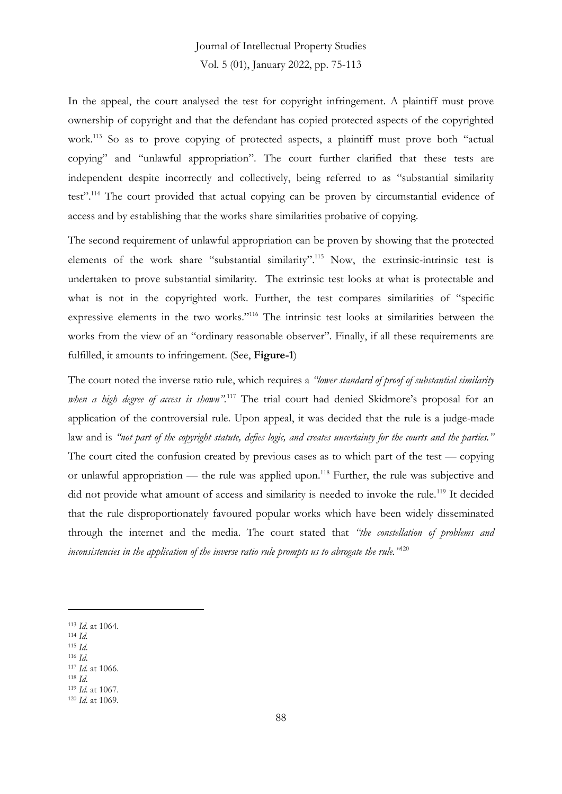In the appeal, the court analysed the test for copyright infringement. A plaintiff must prove ownership of copyright and that the defendant has copied protected aspects of the copyrighted work.<sup>113</sup> So as to prove copying of protected aspects, a plaintiff must prove both "actual copying" and "unlawful appropriation". The court further clarified that these tests are independent despite incorrectly and collectively, being referred to as "substantial similarity test".<sup>114</sup> The court provided that actual copying can be proven by circumstantial evidence of access and by establishing that the works share similarities probative of copying.

The second requirement of unlawful appropriation can be proven by showing that the protected elements of the work share "substantial similarity".<sup>115</sup> Now, the extrinsic-intrinsic test is undertaken to prove substantial similarity. The extrinsic test looks at what is protectable and what is not in the copyrighted work. Further, the test compares similarities of "specific expressive elements in the two works."<sup>116</sup> The intrinsic test looks at similarities between the works from the view of an "ordinary reasonable observer". Finally, if all these requirements are fulfilled, it amounts to infringement. (See, **Figure-1**)

The court noted the inverse ratio rule, which requires a *"lower standard of proof of substantial similarity when a high degree of access is shown".*<sup>117</sup> The trial court had denied Skidmore's proposal for an application of the controversial rule. Upon appeal, it was decided that the rule is a judge-made law and is *"not part of the copyright statute, defies logic, and creates uncertainty for the courts and the parties."* The court cited the confusion created by previous cases as to which part of the test — copying or unlawful appropriation — the rule was applied upon.<sup>118</sup> Further, the rule was subjective and did not provide what amount of access and similarity is needed to invoke the rule.<sup>119</sup> It decided that the rule disproportionately favoured popular works which have been widely disseminated through the internet and the media. The court stated that *"the constellation of problems and inconsistencies in the application of the inverse ratio rule prompts us to abrogate the rule."*<sup>120</sup>

- <sup>115</sup> *Id*.
- <sup>116</sup> *Id*. <sup>117</sup> *Id*. at 1066.

<sup>113</sup> *Id*. at 1064.

<sup>114</sup> *Id.*

<sup>118</sup> *Id*.

<sup>119</sup> *Id*. at 1067.

<sup>120</sup> *Id*. at 1069.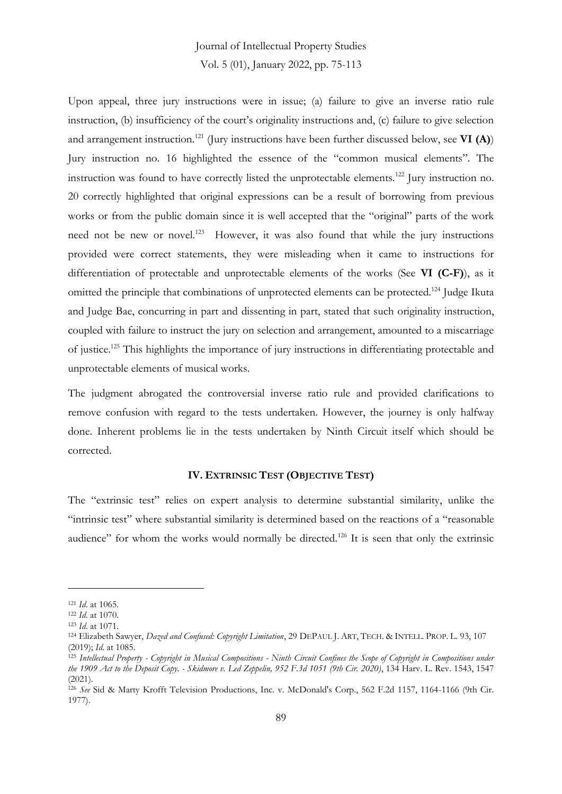Upon appeal, three jury instructions were in issue; (a) failure to give an inverse ratio rule instruction, (b) insufficiency of the court's originality instructions and, (c) failure to give selection and arrangement instruction.<sup>121</sup> (Jury instructions have been further discussed below, see **VI (A)**) Jury instruction no. 16 highlighted the essence of the "common musical elements". The instruction was found to have correctly listed the unprotectable elements.<sup>122</sup> Jury instruction no. 20 correctly highlighted that original expressions can be a result of borrowing from previous works or from the public domain since it is well accepted that the "original" parts of the work need not be new or novel.<sup>123</sup> However, it was also found that while the jury instructions provided were correct statements, they were misleading when it came to instructions for differentiation of protectable and unprotectable elements of the works (See **VI (C-F)**), as it omitted the principle that combinations of unprotected elements can be protected.<sup>124</sup> Judge Ikuta and Judge Bae, concurring in part and dissenting in part, stated that such originality instruction, coupled with failure to instruct the jury on selection and arrangement, amounted to a miscarriage of justice.<sup>125</sup> This highlights the importance of jury instructions in differentiating protectable and unprotectable elements of musical works.

The judgment abrogated the controversial inverse ratio rule and provided clarifications to remove confusion with regard to the tests undertaken. However, the journey is only halfway done. Inherent problems lie in the tests undertaken by Ninth Circuit itself which should be corrected.

#### **IV. EXTRINSIC TEST (OBJECTIVE TEST)**

The "extrinsic test" relies on expert analysis to determine substantial similarity, unlike the "intrinsic test" where substantial similarity is determined based on the reactions of a "reasonable audience" for whom the works would normally be directed.<sup>126</sup> It is seen that only the extrinsic

<sup>121</sup> *Id*. at 1065.

<sup>122</sup> *Id*. at 1070.

<sup>123</sup> *Id*. at 1071.

<sup>124</sup> Elizabeth Sawyer, *Dazed and Confused: Copyright Limitation*, 29 DEPAUL J. ART, TECH. & INTELL. PROP. L. 93, 107 (2019); *Id*. at 1085.

<sup>125</sup> *Intellectual Property - Copyright in Musical Compositions - Ninth Circuit Confines the Scope of Copyright in Compositions under the 1909 Act to the Deposit Copy. - Skidmore v. Led Zeppelin, 952 F.3d 1051 (9th Cir. 2020)*, 134 Harv. L. Rev. 1543, 1547 (2021).

<sup>126</sup> *See* Sid & Marty Krofft Television Productions, Inc. v. McDonald's Corp., 562 F.2d 1157, 1164-1166 (9th Cir. 1977).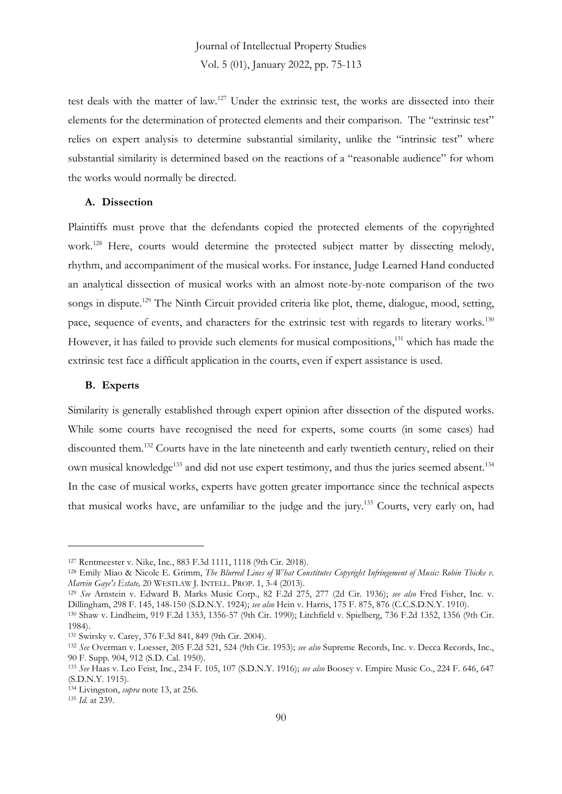test deals with the matter of law.<sup>127</sup> Under the extrinsic test, the works are dissected into their elements for the determination of protected elements and their comparison. The "extrinsic test" relies on expert analysis to determine substantial similarity, unlike the "intrinsic test" where substantial similarity is determined based on the reactions of a "reasonable audience" for whom the works would normally be directed.

#### **A. Dissection**

Plaintiffs must prove that the defendants copied the protected elements of the copyrighted work.<sup>128</sup> Here, courts would determine the protected subject matter by dissecting melody, rhythm, and accompaniment of the musical works. For instance, Judge Learned Hand conducted an analytical dissection of musical works with an almost note-by-note comparison of the two songs in dispute.<sup>129</sup> The Ninth Circuit provided criteria like plot, theme, dialogue, mood, setting, pace, sequence of events, and characters for the extrinsic test with regards to literary works.<sup>130</sup> However, it has failed to provide such elements for musical compositions,<sup>131</sup> which has made the extrinsic test face a difficult application in the courts, even if expert assistance is used.

#### **B. Experts**

Similarity is generally established through expert opinion after dissection of the disputed works. While some courts have recognised the need for experts, some courts (in some cases) had discounted them.<sup>132</sup> Courts have in the late nineteenth and early twentieth century, relied on their own musical knowledge<sup>133</sup> and did not use expert testimony, and thus the juries seemed absent.<sup>134</sup> In the case of musical works, experts have gotten greater importance since the technical aspects that musical works have, are unfamiliar to the judge and the jury.<sup>135</sup> Courts, very early on, had

<sup>127</sup> Rentmeester v. Nike, Inc*.*, 883 F.3d 1111, 1118 (9th Cir. 2018).

<sup>128</sup> Emily Miao & Nicole E. Grimm, *The Blurred Lines of What Constitutes Copyright Infringement of Music: Robin Thicke v. Marvin Gaye's Estate,* 20 WESTLAW J. INTELL. PROP. 1, 3-4 (2013).

<sup>129</sup> *See* Arnstein v. Edward B. Marks Music Corp., 82 F.2d 275, 277 (2d Cir. 1936); *see also* Fred Fisher, Inc. v. Dillingham, 298 F. 145, 148-150 (S.D.N.Y. 1924); *see also* Hein v. Harris, 175 F. 875, 876 (C.C.S.D.N.Y. 1910).

<sup>130</sup> Shaw v. Lindheim, 919 F.2d 1353, 1356-57 (9th Cir. 1990); Litchfield v. Spielberg, 736 F.2d 1352, 1356 (9th Cir. 1984).

<sup>131</sup> Swirsky v. Carey, 376 F.3d 841, 849 (9th Cir. 2004).

<sup>132</sup> *See* Overman v. Loesser, 205 F.2d 521, 524 (9th Cir. 1953); *see also* Supreme Records, Inc. v. Decca Records, Inc., 90 F. Supp. 904, 912 (S.D. Cal. 1950).

<sup>133</sup> *See* Haas v. Leo Feist, Inc., 234 F. 105, 107 (S.D.N.Y. 1916); *see also* Boosey v. Empire Music Co., 224 F. 646, 647 (S.D.N.Y. 1915).

<sup>134</sup> Livingston, *supra* note 13, at 256.

<sup>135</sup> *Id.* at 239.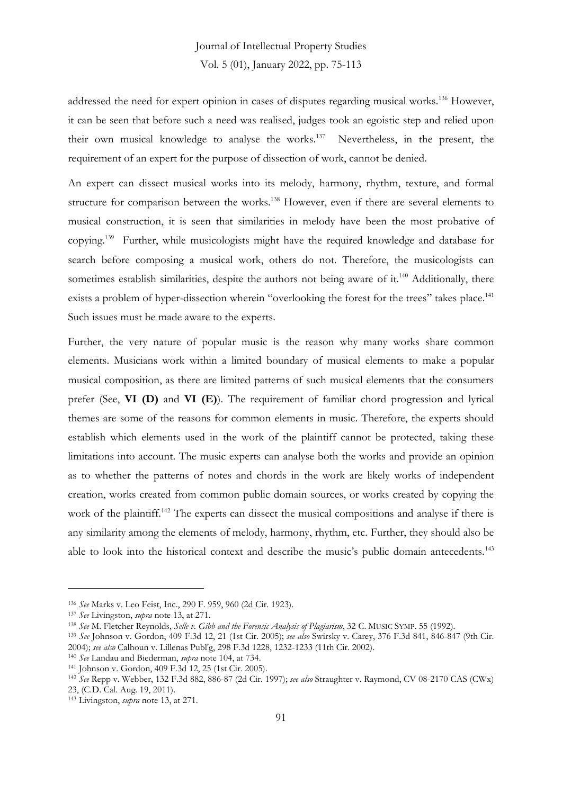addressed the need for expert opinion in cases of disputes regarding musical works.<sup>136</sup> However, it can be seen that before such a need was realised, judges took an egoistic step and relied upon their own musical knowledge to analyse the works.<sup>137</sup> Nevertheless, in the present, the requirement of an expert for the purpose of dissection of work, cannot be denied.

An expert can dissect musical works into its melody, harmony, rhythm, texture, and formal structure for comparison between the works.<sup>138</sup> However, even if there are several elements to musical construction, it is seen that similarities in melody have been the most probative of copying.<sup>139</sup> Further, while musicologists might have the required knowledge and database for search before composing a musical work, others do not. Therefore, the musicologists can sometimes establish similarities, despite the authors not being aware of it.<sup>140</sup> Additionally, there exists a problem of hyper-dissection wherein "overlooking the forest for the trees" takes place.<sup>141</sup> Such issues must be made aware to the experts.

Further, the very nature of popular music is the reason why many works share common elements. Musicians work within a limited boundary of musical elements to make a popular musical composition, as there are limited patterns of such musical elements that the consumers prefer (See, **VI (D)** and **VI (E)**). The requirement of familiar chord progression and lyrical themes are some of the reasons for common elements in music. Therefore, the experts should establish which elements used in the work of the plaintiff cannot be protected, taking these limitations into account. The music experts can analyse both the works and provide an opinion as to whether the patterns of notes and chords in the work are likely works of independent creation, works created from common public domain sources, or works created by copying the work of the plaintiff.<sup>142</sup> The experts can dissect the musical compositions and analyse if there is any similarity among the elements of melody, harmony, rhythm, etc. Further, they should also be able to look into the historical context and describe the music's public domain antecedents.<sup>143</sup>

<sup>136</sup> *See* Marks v. Leo Feist, Inc., 290 F. 959, 960 (2d Cir. 1923).

<sup>137</sup> *See* Livingston, *supra* note 13, at 271.

<sup>138</sup> *See* M. Fletcher Reynolds, *Selle v. Gibb and the Forensic Analysis of Plagiarism*, 32 C. MUSIC SYMP. 55 (1992).

<sup>139</sup> *See* Johnson v. Gordon, 409 F.3d 12, 21 (1st Cir. 2005); *see also* Swirsky v. Carey, 376 F.3d 841, 846-847 (9th Cir. 2004); *see also* Calhoun v. Lillenas Publ'g, 298 F.3d 1228, 1232-1233 (11th Cir. 2002).

<sup>140</sup> *See* Landau and Biederman, *supra* note 104, at 734.

<sup>141</sup> Johnson v. Gordon, 409 F.3d 12, 25 (1st Cir. 2005).

<sup>142</sup> *See* Repp v. Webber, 132 F.3d 882, 886-87 (2d Cir. 1997); *see also* Straughter v. Raymond, CV 08-2170 CAS (CWx) 23, (C.D. Cal. Aug. 19, 2011).

<sup>143</sup> Livingston, *supra* note 13, at 271.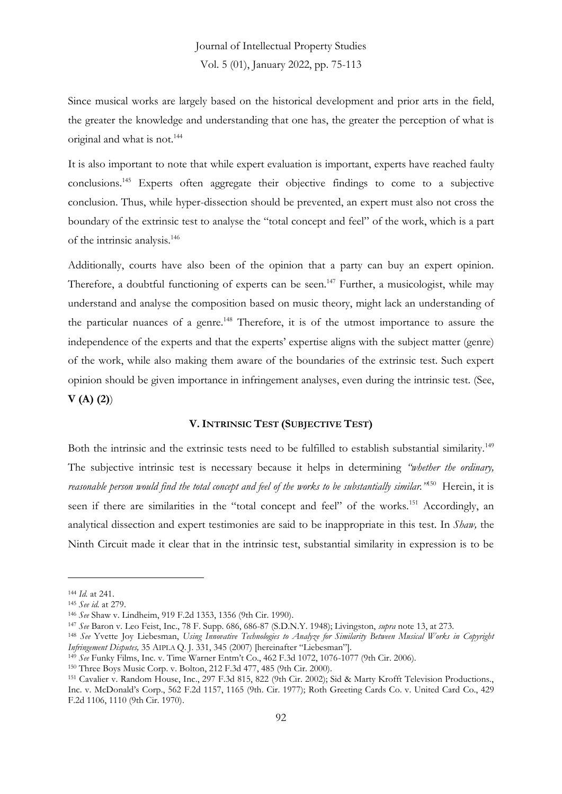Since musical works are largely based on the historical development and prior arts in the field, the greater the knowledge and understanding that one has, the greater the perception of what is original and what is not.<sup>144</sup>

It is also important to note that while expert evaluation is important, experts have reached faulty conclusions.<sup>145</sup> Experts often aggregate their objective findings to come to a subjective conclusion. Thus, while hyper-dissection should be prevented, an expert must also not cross the boundary of the extrinsic test to analyse the "total concept and feel" of the work, which is a part of the intrinsic analysis.<sup>146</sup>

Additionally, courts have also been of the opinion that a party can buy an expert opinion. Therefore, a doubtful functioning of experts can be seen.<sup>147</sup> Further, a musicologist, while may understand and analyse the composition based on music theory, might lack an understanding of the particular nuances of a genre.<sup>148</sup> Therefore, it is of the utmost importance to assure the independence of the experts and that the experts' expertise aligns with the subject matter (genre) of the work, while also making them aware of the boundaries of the extrinsic test. Such expert opinion should be given importance in infringement analyses, even during the intrinsic test. (See, **V (A) (2)**)

#### **V. INTRINSIC TEST (SUBJECTIVE TEST)**

Both the intrinsic and the extrinsic tests need to be fulfilled to establish substantial similarity.<sup>149</sup> The subjective intrinsic test is necessary because it helps in determining *"whether the ordinary, reasonable person would find the total concept and feel of the works to be substantially similar."*<sup>150</sup> Herein, it is seen if there are similarities in the "total concept and feel" of the works.<sup>151</sup> Accordingly, an analytical dissection and expert testimonies are said to be inappropriate in this test. In *Shaw,* the Ninth Circuit made it clear that in the intrinsic test, substantial similarity in expression is to be

<sup>144</sup> *Id.* at 241.

<sup>145</sup> *See id.* at 279.

<sup>146</sup> *See* Shaw v. Lindheim, 919 F.2d 1353, 1356 (9th Cir. 1990).

<sup>147</sup> *See* Baron v. Leo Feist, Inc., 78 F. Supp. 686, 686-87 (S.D.N.Y. 1948); Livingston, *supra* note 13, at 273.

<sup>148</sup> *See* Yvette Joy Liebesman, *Using Innovative Technologies to Analyze for Similarity Between Musical Works in Copyright Infringement Disputes,* 35 AIPLA Q. J. 331, 345 (2007) [hereinafter "Liebesman"].

<sup>149</sup> *See* Funky Films, Inc. v. Time Warner Entm't Co., 462 F.3d 1072, 1076-1077 (9th Cir. 2006).

<sup>150</sup> Three Boys Music Corp. v. Bolton, 212 F.3d 477, 485 (9th Cir. 2000).

<sup>151</sup> Cavalier v. Random House, Inc., 297 F.3d 815, 822 (9th Cir. 2002); Sid & Marty Krofft Television Productions., Inc. v. McDonald's Corp., 562 F.2d 1157, 1165 (9th. Cir. 1977); Roth Greeting Cards Co. v. United Card Co., 429 F.2d 1106, 1110 (9th Cir. 1970).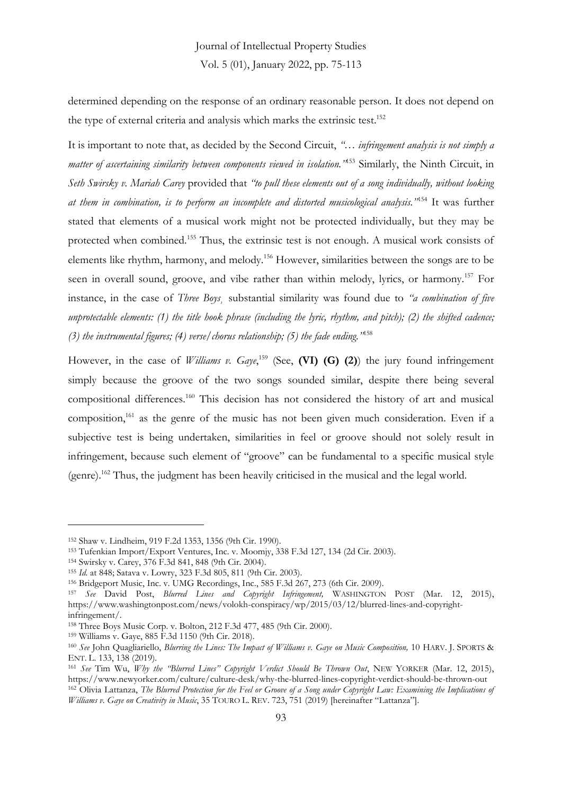determined depending on the response of an ordinary reasonable person. It does not depend on the type of external criteria and analysis which marks the extrinsic test.<sup>152</sup>

It is important to note that, as decided by the Second Circuit, *"… infringement analysis is not simply a matter of ascertaining similarity between components viewed in isolation."*<sup>153</sup> Similarly, the Ninth Circuit, in *Seth Swirsky v. Mariah Carey* provided that *"to pull these elements out of a song individually, without looking at them in combination, is to perform an incomplete and distorted musicological analysis."*<sup>154</sup> It was further stated that elements of a musical work might not be protected individually, but they may be protected when combined.<sup>155</sup> Thus, the extrinsic test is not enough. A musical work consists of elements like rhythm, harmony, and melody.<sup>156</sup> However, similarities between the songs are to be seen in overall sound, groove, and vibe rather than within melody, lyrics, or harmony.<sup>157</sup> For instance, in the case of *Three Boys¸* substantial similarity was found due to *"a combination of five unprotectable elements: (1) the title hook phrase (including the lyric, rhythm, and pitch); (2) the shifted cadence; (3) the instrumental figures; (4) verse/chorus relationship; (5) the fade ending."*<sup>158</sup>

However, in the case of *Williams v. Gaye*,<sup>159</sup> (See, **(VI) (G) (2)**) the jury found infringement simply because the groove of the two songs sounded similar, despite there being several compositional differences.<sup>160</sup> This decision has not considered the history of art and musical composition,<sup>161</sup> as the genre of the music has not been given much consideration. Even if a subjective test is being undertaken, similarities in feel or groove should not solely result in infringement, because such element of "groove" can be fundamental to a specific musical style (genre).<sup>162</sup> Thus, the judgment has been heavily criticised in the musical and the legal world.

<sup>152</sup> Shaw v. Lindheim, 919 F.2d 1353, 1356 (9th Cir. 1990).

<sup>153</sup> Tufenkian Import/Export Ventures, Inc. v. Moomjy, 338 F.3d 127, 134 (2d Cir. 2003).

<sup>154</sup> Swirsky v. Carey, 376 F.3d 841, 848 (9th Cir. 2004).

<sup>155</sup> *Id.* at 848; Satava v. Lowry, 323 F.3d 805, 811 (9th Cir. 2003).

<sup>156</sup> Bridgeport Music, Inc. v. UMG Recordings, Inc., 585 F.3d 267, 273 (6th Cir. 2009).

<sup>157</sup> *See* David Post, *Blurred Lines and Copyright Infringement,* WASHINGTON POST (Mar. 12, 2015), https://www.washingtonpost.com/news/volokh-conspiracy/wp/2015/03/12/blurred-lines-and-copyrightinfringement/.

<sup>158</sup> Three Boys Music Corp. v. Bolton, 212 F.3d 477, 485 (9th Cir. 2000).

<sup>159</sup> Williams v. Gaye, 885 F.3d 1150 (9th Cir. 2018).

<sup>160</sup> *See* John Quagliariello, *Blurring the Lines: The Impact of Williams v. Gaye on Music Composition,* 10 HARV. J. SPORTS & ENT. L. 133, 138 (2019).

<sup>161</sup> *See* Tim Wu, *Why the "Blurred Lines" Copyright Verdict Should Be Thrown Out*, NEW YORKER (Mar. 12, 2015), https://www.newyorker.com/culture/culture-desk/why-the-blurred-lines-copyright-verdict-should-be-thrown-out <sup>162</sup> Olivia Lattanza, *The Blurred Protection for the Feel or Groove of a Song under Copyright Law: Examining the Implications of Williams v. Gaye on Creativity in Music*, 35 TOURO L. REV. 723, 751 (2019) [hereinafter "Lattanza"].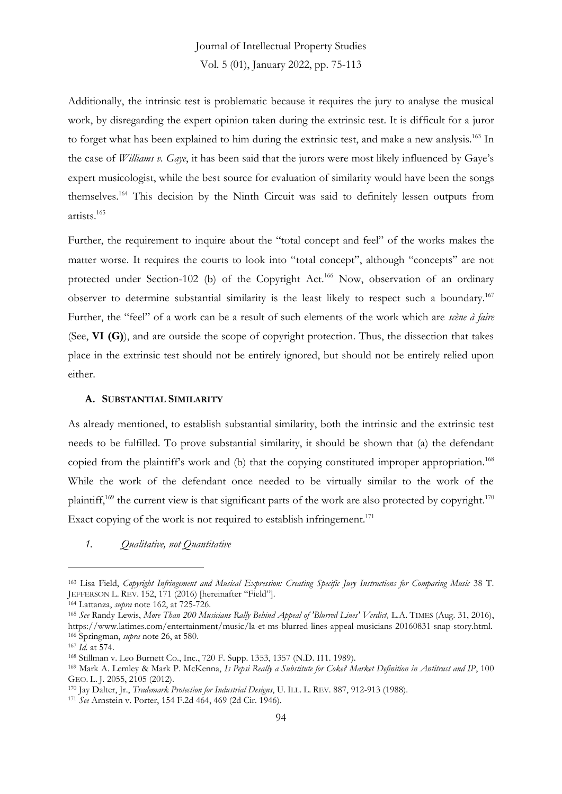Additionally, the intrinsic test is problematic because it requires the jury to analyse the musical work, by disregarding the expert opinion taken during the extrinsic test. It is difficult for a juror to forget what has been explained to him during the extrinsic test, and make a new analysis.<sup>163</sup> In the case of *Williams v. Gaye*, it has been said that the jurors were most likely influenced by Gaye's expert musicologist, while the best source for evaluation of similarity would have been the songs themselves.<sup>164</sup> This decision by the Ninth Circuit was said to definitely lessen outputs from artists.<sup>165</sup>

Further, the requirement to inquire about the "total concept and feel" of the works makes the matter worse. It requires the courts to look into "total concept", although "concepts" are not protected under Section-102 (b) of the Copyright Act.<sup>166</sup> Now, observation of an ordinary observer to determine substantial similarity is the least likely to respect such a boundary.<sup>167</sup> Further, the "feel" of a work can be a result of such elements of the work which are *scène à faire* (See, **VI (G)**), and are outside the scope of copyright protection. Thus, the dissection that takes place in the extrinsic test should not be entirely ignored, but should not be entirely relied upon either.

#### **A. SUBSTANTIAL SIMILARITY**

As already mentioned, to establish substantial similarity, both the intrinsic and the extrinsic test needs to be fulfilled. To prove substantial similarity, it should be shown that (a) the defendant copied from the plaintiff's work and (b) that the copying constituted improper appropriation.<sup>168</sup> While the work of the defendant once needed to be virtually similar to the work of the plaintiff,<sup>169</sup> the current view is that significant parts of the work are also protected by copyright.<sup>170</sup> Exact copying of the work is not required to establish infringement.<sup>171</sup>

*1. Qualitative, not Quantitative* 

<sup>163</sup> Lisa Field, *Copyright Infringement and Musical Expression: Creating Specific Jury Instructions for Comparing Music* 38 T. JEFFERSON L. REV. 152, 171 (2016) [hereinafter "Field"].

<sup>164</sup> Lattanza, *supra* note 162, at 725-726.

<sup>165</sup> *See* Randy Lewis, *More Than 200 Musicians Rally Behind Appeal of 'Blurred Lines' Verdict,* L.A. TIMES (Aug. 31, 2016), https://www.latimes.com/entertainment/music/la-et-ms-blurred-lines-appeal-musicians-20160831-snap-story.html. <sup>166</sup> Springman, *supra* note 26, at 580.

<sup>167</sup> *Id.* at 574.

<sup>168</sup> Stillman v. Leo Burnett Co., Inc., 720 F. Supp. 1353, 1357 (N.D. I11. 1989).

<sup>169</sup> Mark A. Lemley & Mark P. McKenna, *Is Pepsi Really a Substitute for Coke? Market Definition in Antitrust and IP*, 100 GEO. L. J. 2055, 2105 (2012).

<sup>170</sup> Jay Dalter, Jr., *Trademark Protection for Industrial Designs*, U. ILL. L. REV. 887, 912-913 (1988).

<sup>171</sup> *See* Arnstein v. Porter, 154 F.2d 464, 469 (2d Cir. 1946).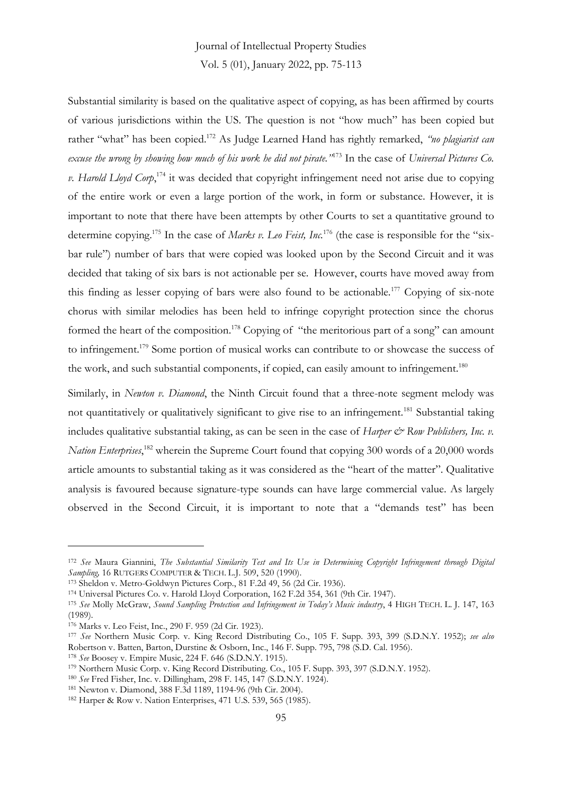### Journal of Intellectual Property Studies

Vol. 5 (01), January 2022, pp. 75-113

Substantial similarity is based on the qualitative aspect of copying, as has been affirmed by courts of various jurisdictions within the US. The question is not "how much" has been copied but rather "what" has been copied.<sup>172</sup> As Judge Learned Hand has rightly remarked, *"no plagiarist can excuse the wrong by showing how much of his work he did not pirate."*<sup>173</sup> In the case of *Universal Pictures Co. v. Harold Lloyd Corp*, <sup>174</sup> it was decided that copyright infringement need not arise due to copying of the entire work or even a large portion of the work, in form or substance. However, it is important to note that there have been attempts by other Courts to set a quantitative ground to determine copying.<sup>175</sup> In the case of *Marks v. Leo Feist, Inc.*<sup>176</sup> (the case is responsible for the "sixbar rule") number of bars that were copied was looked upon by the Second Circuit and it was decided that taking of six bars is not actionable per se. However, courts have moved away from this finding as lesser copying of bars were also found to be actionable.<sup>177</sup> Copying of six-note chorus with similar melodies has been held to infringe copyright protection since the chorus formed the heart of the composition.<sup>178</sup> Copying of "the meritorious part of a song" can amount to infringement.<sup>179</sup> Some portion of musical works can contribute to or showcase the success of the work, and such substantial components, if copied, can easily amount to infringement.<sup>180</sup>

Similarly, in *Newton v. Diamond*, the Ninth Circuit found that a three-note segment melody was not quantitatively or qualitatively significant to give rise to an infringement.<sup>181</sup> Substantial taking includes qualitative substantial taking, as can be seen in the case of *Harper & Row Publishers, Inc. v.* Nation Enterprises,<sup>182</sup> wherein the Supreme Court found that copying 300 words of a 20,000 words article amounts to substantial taking as it was considered as the "heart of the matter". Qualitative analysis is favoured because signature-type sounds can have large commercial value. As largely observed in the Second Circuit, it is important to note that a "demands test" has been

<sup>178</sup> *See* Boosey v. Empire Music, 224 F. 646 (S.D.N.Y. 1915).

<sup>172</sup> *See* Maura Giannini, *The Substantial Similarity Test and Its Use in Determining Copyright Infringement through Digital Sampling,* 16 RUTGERS COMPUTER & TECH. L.J. 509, 520 (1990).

<sup>173</sup> Sheldon v. Metro-Goldwyn Pictures Corp., 81 F.2d 49, 56 (2d Cir. 1936).

<sup>174</sup> Universal Pictures Co. v. Harold Lloyd Corporation, 162 F.2d 354, 361 (9th Cir. 1947).

<sup>175</sup> *See* Molly McGraw, *Sound Sampling Protection and Infringement in Today's Music industry*, 4 HIGH TECH. L. J. 147, 163 (1989).

<sup>176</sup> Marks v. Leo Feist, Inc., 290 F. 959 (2d Cir. 1923).

<sup>177</sup> *See* Northern Music Corp. v. King Record Distributing Co., 105 F. Supp. 393, 399 (S.D.N.Y. 1952); *see also* Robertson v. Batten, Barton, Durstine & Osborn, Inc., 146 F. Supp. 795, 798 (S.D. Cal. 1956).

<sup>179</sup> Northern Music Corp. v. King Record Distributing. Co., 105 F. Supp. 393, 397 (S.D.N.Y. 1952).

<sup>180</sup> *See* Fred Fisher, Inc. v. Dillingham, 298 F. 145, 147 (S.D.N.Y. 1924).

<sup>181</sup> Newton v. Diamond, 388 F.3d 1189, 1194-96 (9th Cir. 2004).

<sup>182</sup> Harper & Row v. Nation Enterprises, 471 U.S. 539, 565 (1985).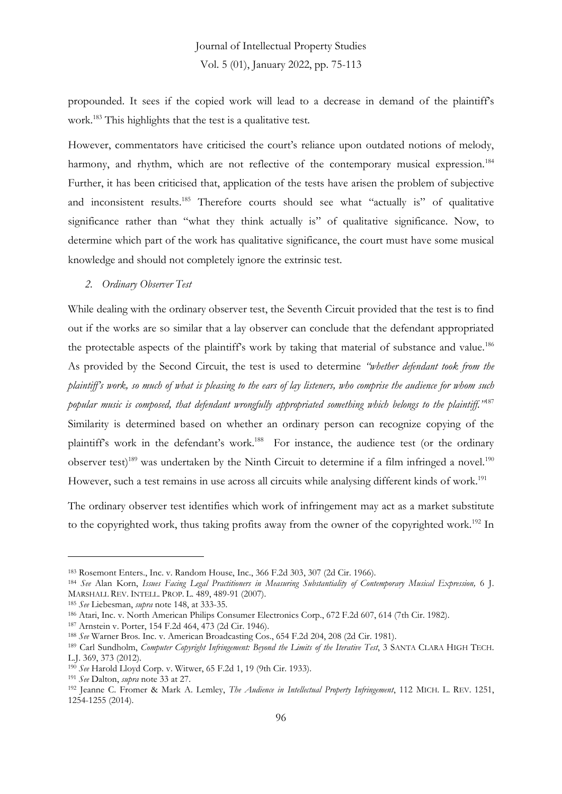propounded. It sees if the copied work will lead to a decrease in demand of the plaintiff's work.<sup>183</sup> This highlights that the test is a qualitative test.

However, commentators have criticised the court's reliance upon outdated notions of melody, harmony, and rhythm, which are not reflective of the contemporary musical expression.<sup>184</sup> Further, it has been criticised that, application of the tests have arisen the problem of subjective and inconsistent results.<sup>185</sup> Therefore courts should see what "actually is" of qualitative significance rather than "what they think actually is" of qualitative significance. Now, to determine which part of the work has qualitative significance, the court must have some musical knowledge and should not completely ignore the extrinsic test.

*2. Ordinary Observer Test* 

While dealing with the ordinary observer test, the Seventh Circuit provided that the test is to find out if the works are so similar that a lay observer can conclude that the defendant appropriated the protectable aspects of the plaintiff's work by taking that material of substance and value.<sup>186</sup> As provided by the Second Circuit, the test is used to determine *"whether defendant took from the plaintiff's work, so much of what is pleasing to the ears of lay listeners, who comprise the audience for whom such popular music is composed, that defendant wrongfully appropriated something which belongs to the plaintiff."*<sup>187</sup> Similarity is determined based on whether an ordinary person can recognize copying of the plaintiff's work in the defendant's work.<sup>188</sup> For instance, the audience test (or the ordinary observer test)<sup>189</sup> was undertaken by the Ninth Circuit to determine if a film infringed a novel.<sup>190</sup> However, such a test remains in use across all circuits while analysing different kinds of work.<sup>191</sup>

The ordinary observer test identifies which work of infringement may act as a market substitute to the copyrighted work, thus taking profits away from the owner of the copyrighted work.<sup>192</sup> In

<sup>183</sup> Rosemont Enters., Inc. v. Random House, Inc., 366 F.2d 303, 307 (2d Cir. 1966).

<sup>184</sup> *See* Alan Korn, *Issues Facing Legal Practitioners in Measuring Substantiality of Contemporary Musical Expression,* 6 J. MARSHALL REV. INTELL. PROP. L. 489, 489-91 (2007).

<sup>185</sup> *See* Liebesman, *supra* note 148, at 333-35.

<sup>186</sup> Atari, Inc. v. North American Philips Consumer Electronics Corp., 672 F.2d 607, 614 (7th Cir. 1982).

<sup>187</sup> Arnstein v. Porter, 154 F.2d 464, 473 (2d Cir. 1946).

<sup>188</sup> *See* Warner Bros. Inc. v. American Broadcasting Cos., 654 F.2d 204, 208 (2d Cir. 1981).

<sup>189</sup> Carl Sundholm, *Computer Copyright Infringement: Beyond the Limits of the Iterative Test*, 3 SANTA CLARA HIGH TECH. L.J. 369, 373 (2012).

<sup>190</sup> *See* Harold Lloyd Corp. v. Witwer, 65 F.2d 1, 19 (9th Cir. 1933).

<sup>191</sup> *See* Dalton, *supra* note 33 at 27.

<sup>192</sup> Jeanne C. Fromer & Mark A. Lemley, *The Audience in Intellectual Property Infringement*, 112 MICH. L. REV. 1251, 1254-1255 (2014).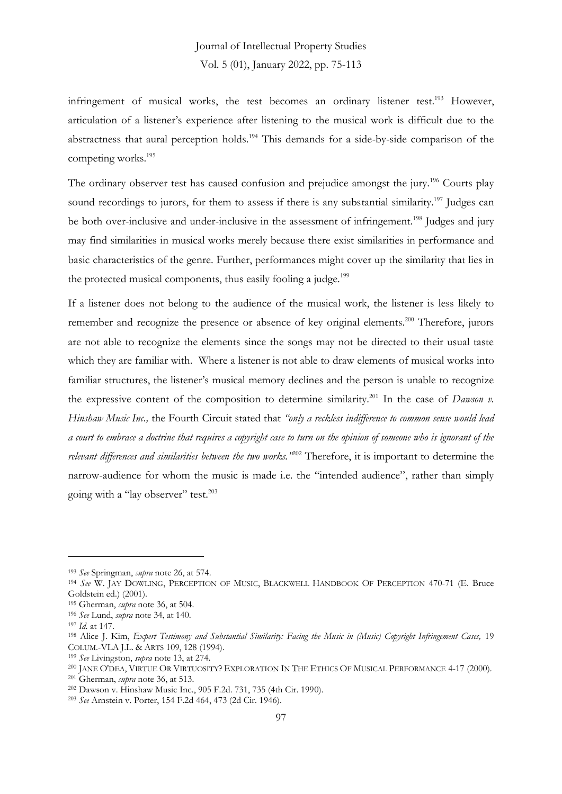infringement of musical works, the test becomes an ordinary listener test.<sup>193</sup> However, articulation of a listener's experience after listening to the musical work is difficult due to the abstractness that aural perception holds.<sup>194</sup> This demands for a side-by-side comparison of the competing works.<sup>195</sup>

The ordinary observer test has caused confusion and prejudice amongst the jury.<sup>196</sup> Courts play sound recordings to jurors, for them to assess if there is any substantial similarity.<sup>197</sup> Judges can be both over-inclusive and under-inclusive in the assessment of infringement.<sup>198</sup> Judges and jury may find similarities in musical works merely because there exist similarities in performance and basic characteristics of the genre. Further, performances might cover up the similarity that lies in the protected musical components, thus easily fooling a judge.<sup>199</sup>

If a listener does not belong to the audience of the musical work, the listener is less likely to remember and recognize the presence or absence of key original elements.<sup>200</sup> Therefore, jurors are not able to recognize the elements since the songs may not be directed to their usual taste which they are familiar with. Where a listener is not able to draw elements of musical works into familiar structures, the listener's musical memory declines and the person is unable to recognize the expressive content of the composition to determine similarity.<sup>201</sup> In the case of *Dawson v. Hinshaw Music Inc.,* the Fourth Circuit stated that *"only a reckless indifference to common sense would lead a court to embrace a doctrine that requires a copyright case to turn on the opinion of someone who is ignorant of the relevant differences and similarities between the two works."*<sup>202</sup> Therefore, it is important to determine the narrow-audience for whom the music is made i.e. the "intended audience", rather than simply going with a "lay observer" test.<sup>203</sup>

<sup>193</sup> *See* Springman, *supra* note 26, at 574.

<sup>194</sup> *See* W. JAY DOWLING, PERCEPTION OF MUSIC, BLACKWELL HANDBOOK OF PERCEPTION 470-71 (E. Bruce Goldstein ed.) (2001).

<sup>195</sup> Gherman, *supra* note 36, at 504.

<sup>196</sup> *See* Lund, *supra* note 34, at 140.

<sup>197</sup> *Id.* at 147.

<sup>198</sup> Alice J. Kim, *Expert Testimony and Substantial Similarity: Facing the Music in (Music) Copyright Infringement Cases,* 19 COLUM.-VLA J.L. & ARTS 109, 128 (1994).

<sup>199</sup> *See* Livingston, *supra* note 13, at 274.

<sup>200</sup> JANE O'DEA, VIRTUE OR VIRTUOSITY? EXPLORATION IN THE ETHICS OF MUSICAL PERFORMANCE 4-17 (2000).

<sup>201</sup> Gherman, *supra* note 36, at 513.

<sup>202</sup> Dawson v. Hinshaw Music Inc., 905 F.2d. 731, 735 (4th Cir. 1990).

<sup>203</sup> *See* Arnstein v. Porter, 154 F.2d 464, 473 (2d Cir. 1946).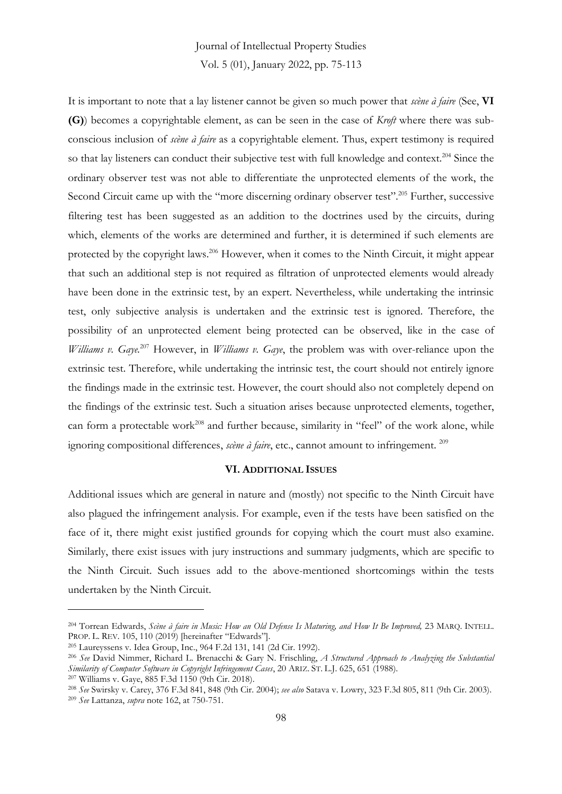# Journal of Intellectual Property Studies

Vol. 5 (01), January 2022, pp. 75-113

It is important to note that a lay listener cannot be given so much power that *scène à faire* (See, **VI (G)**) becomes a copyrightable element, as can be seen in the case of *Kroft* where there was subconscious inclusion of *scène à faire* as a copyrightable element. Thus, expert testimony is required so that lay listeners can conduct their subjective test with full knowledge and context.<sup>204</sup> Since the ordinary observer test was not able to differentiate the unprotected elements of the work, the Second Circuit came up with the "more discerning ordinary observer test".<sup>205</sup> Further, successive filtering test has been suggested as an addition to the doctrines used by the circuits, during which, elements of the works are determined and further, it is determined if such elements are protected by the copyright laws.<sup>206</sup> However, when it comes to the Ninth Circuit, it might appear that such an additional step is not required as filtration of unprotected elements would already have been done in the extrinsic test, by an expert. Nevertheless, while undertaking the intrinsic test, only subjective analysis is undertaken and the extrinsic test is ignored. Therefore, the possibility of an unprotected element being protected can be observed, like in the case of *Williams v. Gaye.*<sup>207</sup> However, in *Williams v. Gaye*, the problem was with over-reliance upon the extrinsic test. Therefore, while undertaking the intrinsic test, the court should not entirely ignore the findings made in the extrinsic test. However, the court should also not completely depend on the findings of the extrinsic test. Such a situation arises because unprotected elements, together, can form a protectable work<sup>208</sup> and further because, similarity in "feel" of the work alone, while ignoring compositional differences, *scène à faire*, etc., cannot amount to infringement. <sup>209</sup>

#### **VI. ADDITIONAL ISSUES**

Additional issues which are general in nature and (mostly) not specific to the Ninth Circuit have also plagued the infringement analysis. For example, even if the tests have been satisfied on the face of it, there might exist justified grounds for copying which the court must also examine. Similarly, there exist issues with jury instructions and summary judgments, which are specific to the Ninth Circuit. Such issues add to the above-mentioned shortcomings within the tests undertaken by the Ninth Circuit.

<sup>204</sup> Torrean Edwards, *Scène à faire in Music: How an Old Defense Is Maturing, and How It Be Improved,* 23 MARQ. INTELL. PROP. L. REV. 105, 110 (2019) [hereinafter "Edwards"].

<sup>205</sup> Laureyssens v. Idea Group, Inc., 964 F.2d 131, 141 (2d Cir. 1992).

<sup>206</sup> *See* David Nimmer, Richard L. Brenacchi & Gary N. Frischling, *A Structured Approach to Analyzing the Substantial Similarity of Computer Software in Copyright Infringement Cases*, 20 ARIZ. ST. L.J. 625, 651 (1988). <sup>207</sup> Williams v. Gaye, 885 F.3d 1150 (9th Cir. 2018).

<sup>208</sup> *See* Swirsky v. Carey, 376 F.3d 841, 848 (9th Cir. 2004); *see also* Satava v. Lowry, 323 F.3d 805, 811 (9th Cir. 2003). <sup>209</sup> *See* Lattanza, *supra* note 162, at 750-751.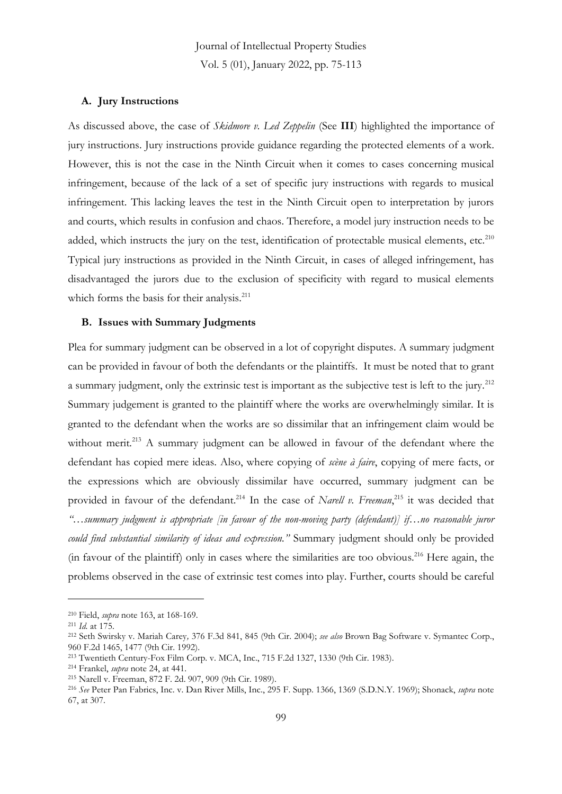#### **A. Jury Instructions**

As discussed above, the case of *Skidmore v. Led Zeppelin* (See **III**) highlighted the importance of jury instructions. Jury instructions provide guidance regarding the protected elements of a work. However, this is not the case in the Ninth Circuit when it comes to cases concerning musical infringement, because of the lack of a set of specific jury instructions with regards to musical infringement. This lacking leaves the test in the Ninth Circuit open to interpretation by jurors and courts, which results in confusion and chaos. Therefore, a model jury instruction needs to be added, which instructs the jury on the test, identification of protectable musical elements, etc.<sup>210</sup> Typical jury instructions as provided in the Ninth Circuit, in cases of alleged infringement, has disadvantaged the jurors due to the exclusion of specificity with regard to musical elements which forms the basis for their analysis.<sup>211</sup>

#### **B. Issues with Summary Judgments**

Plea for summary judgment can be observed in a lot of copyright disputes. A summary judgment can be provided in favour of both the defendants or the plaintiffs. It must be noted that to grant a summary judgment, only the extrinsic test is important as the subjective test is left to the jury*.* 212 Summary judgement is granted to the plaintiff where the works are overwhelmingly similar. It is granted to the defendant when the works are so dissimilar that an infringement claim would be without merit.<sup>213</sup> A summary judgment can be allowed in favour of the defendant where the defendant has copied mere ideas. Also, where copying of *scène à faire*, copying of mere facts, or the expressions which are obviously dissimilar have occurred, summary judgment can be provided in favour of the defendant.<sup>214</sup> In the case of *Narell v. Freeman*,<sup>215</sup> it was decided that *"…summary judgment is appropriate [in favour of the non-moving party (defendant)] if…no reasonable juror could find substantial similarity of ideas and expression."* Summary judgment should only be provided (in favour of the plaintiff) only in cases where the similarities are too obvious.<sup>216</sup> Here again, the problems observed in the case of extrinsic test comes into play. Further, courts should be careful

<sup>210</sup> Field, *supra* note 163, at 168-169.

<sup>211</sup> *Id.* at 175.

<sup>212</sup> Seth Swirsky v. Mariah Carey*,* 376 F.3d 841, 845 (9th Cir. 2004); *see also* Brown Bag Software v. Symantec Corp., 960 F.2d 1465, 1477 (9th Cir. 1992).

<sup>213</sup> Twentieth Century-Fox Film Corp. v. MCA, Inc., 715 F.2d 1327, 1330 (9th Cir. 1983).

<sup>214</sup> Frankel, *supra* note 24, at 441.

<sup>215</sup> Narell v. Freeman, 872 F. 2d. 907, 909 (9th Cir. 1989).

<sup>216</sup> *See* Peter Pan Fabrics, Inc. v. Dan River Mills, Inc., 295 F. Supp. 1366, 1369 (S.D.N.Y. 1969); Shonack, *supra* note 67, at 307.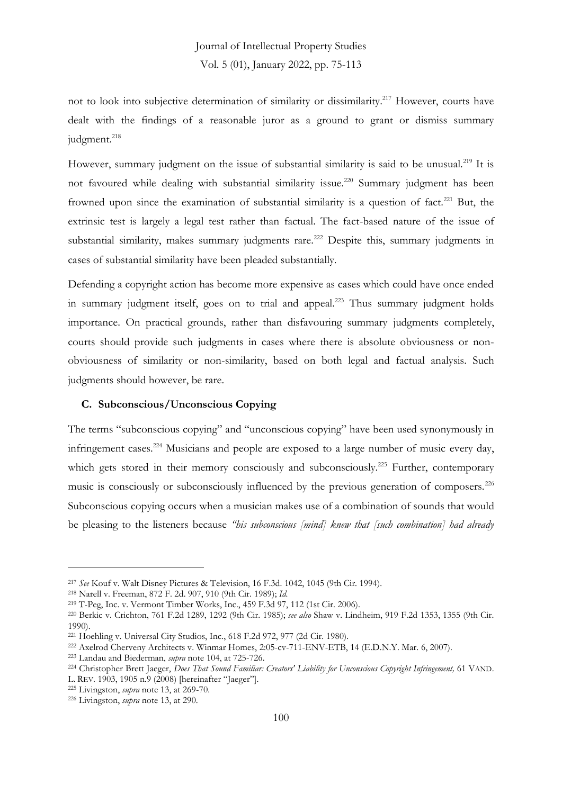not to look into subjective determination of similarity or dissimilarity. <sup>217</sup> However, courts have dealt with the findings of a reasonable juror as a ground to grant or dismiss summary judgment. 218

However, summary judgment on the issue of substantial similarity is said to be unusual.<sup>219</sup> It is not favoured while dealing with substantial similarity issue.<sup>220</sup> Summary judgment has been frowned upon since the examination of substantial similarity is a question of fact.<sup>221</sup> But, the extrinsic test is largely a legal test rather than factual. The fact-based nature of the issue of substantial similarity, makes summary judgments rare.<sup>222</sup> Despite this, summary judgments in cases of substantial similarity have been pleaded substantially.

Defending a copyright action has become more expensive as cases which could have once ended in summary judgment itself, goes on to trial and appeal.<sup>223</sup> Thus summary judgment holds importance. On practical grounds, rather than disfavouring summary judgments completely, courts should provide such judgments in cases where there is absolute obviousness or nonobviousness of similarity or non-similarity, based on both legal and factual analysis. Such judgments should however, be rare.

#### **C. Subconscious/Unconscious Copying**

The terms "subconscious copying" and "unconscious copying" have been used synonymously in infringement cases.<sup>224</sup> Musicians and people are exposed to a large number of music every day, which gets stored in their memory consciously and subconsciously.<sup>225</sup> Further, contemporary music is consciously or subconsciously influenced by the previous generation of composers.<sup>226</sup> Subconscious copying occurs when a musician makes use of a combination of sounds that would be pleasing to the listeners because *"his subconscious [mind] knew that [such combination] had already* 

<sup>217</sup> *See* Kouf v. Walt Disney Pictures & Television, 16 F.3d. 1042, 1045 (9th Cir. 1994).

<sup>218</sup> Narell v. Freeman, 872 F. 2d. 907, 910 (9th Cir. 1989); *Id.*

<sup>219</sup> T-Peg, Inc. v. Vermont Timber Works, Inc., 459 F.3d 97, 112 (1st Cir. 2006).

<sup>220</sup> Berkic v. Crichton, 761 F.2d 1289, 1292 (9th Cir. 1985); *see also* Shaw v. Lindheim, 919 F.2d 1353, 1355 (9th Cir. 1990).

<sup>221</sup> Hoehling v. Universal City Studios, Inc., 618 F.2d 972, 977 (2d Cir. 1980).

<sup>222</sup> Axelrod Cherveny Architects v. Winmar Homes, 2:05-cv-711-ENV-ETB, 14 (E.D.N.Y. Mar. 6, 2007).

<sup>223</sup> Landau and Biederman, *supra* note 104, at 725-726.

<sup>224</sup> Christopher Brett Jaeger, *Does That Sound Familiar: Creators' Liability for Unconscious Copyright Infringement,* 61 VAND. L. REV. 1903, 1905 n.9 (2008) [hereinafter "Jaeger"].

<sup>225</sup> Livingston, *supra* note 13, at 269-70.

<sup>226</sup> Livingston, *supra* note 13, at 290.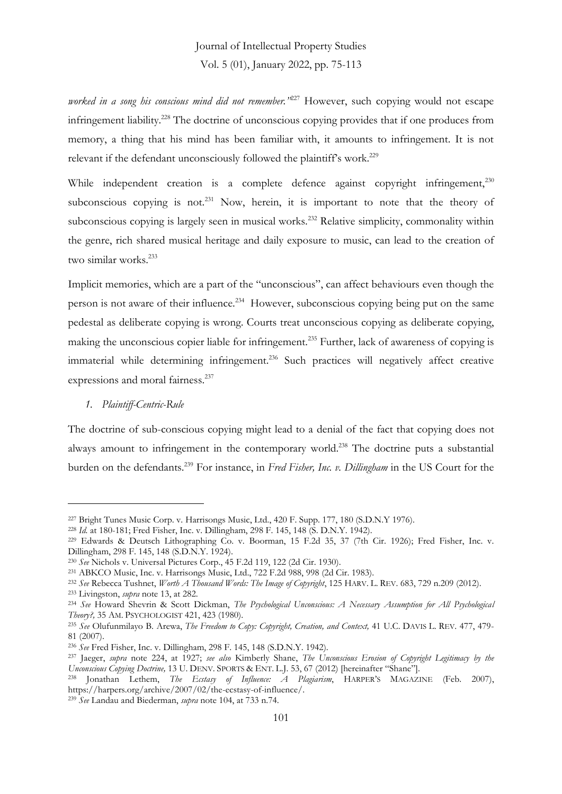*worked in a song his conscious mind did not remember."*<sup>227</sup> However, such copying would not escape infringement liability.<sup>228</sup> The doctrine of unconscious copying provides that if one produces from memory, a thing that his mind has been familiar with, it amounts to infringement. It is not relevant if the defendant unconsciously followed the plaintiff's work.<sup>229</sup>

While independent creation is a complete defence against copyright infringement,<sup>230</sup> subconscious copying is not.<sup>231</sup> Now, herein, it is important to note that the theory of subconscious copying is largely seen in musical works.<sup>232</sup> Relative simplicity, commonality within the genre, rich shared musical heritage and daily exposure to music, can lead to the creation of two similar works.<sup>233</sup>

Implicit memories, which are a part of the "unconscious", can affect behaviours even though the person is not aware of their influence.<sup>234</sup> However, subconscious copying being put on the same pedestal as deliberate copying is wrong. Courts treat unconscious copying as deliberate copying, making the unconscious copier liable for infringement.<sup>235</sup> Further, lack of awareness of copying is immaterial while determining infringement.<sup>236</sup> Such practices will negatively affect creative expressions and moral fairness.<sup>237</sup>

#### *1. Plaintiff-Centric-Rule*

The doctrine of sub-conscious copying might lead to a denial of the fact that copying does not always amount to infringement in the contemporary world.<sup>238</sup> The doctrine puts a substantial burden on the defendants.<sup>239</sup> For instance, in *Fred Fisher, Inc. v. Dillingham* in the US Court for the

<sup>239</sup> *See* Landau and Biederman, *supra* note 104, at 733 n.74.

<sup>227</sup> Bright Tunes Music Corp. v. Harrisongs Music, Ltd., 420 F. Supp. 177, 180 (S.D.N.Y 1976).

<sup>228</sup> *Id.* at 180-181; Fred Fisher, Inc. v. Dillingham, 298 F. 145, 148 (S. D.N.Y. 1942).

<sup>229</sup> Edwards & Deutsch Lithographing Co. v. Boorman, 15 F.2d 35, 37 (7th Cir. 1926); Fred Fisher, Inc. v. Dillingham, 298 F. 145, 148 (S.D.N.Y. 1924).

<sup>230</sup> *See* Nichols v. Universal Pictures Corp., 45 F.2d 119, 122 (2d Cir. 1930).

<sup>231</sup> ABKCO Music, Inc. v. Harrisongs Music, Ltd., 722 F.2d 988, 998 (2d Cir. 1983).

<sup>232</sup> *See* Rebecca Tushnet, *Worth A Thousand Words: The Image of Copyright*, 125 HARV. L. REV. 683, 729 n.209 (2012).

<sup>233</sup> Livingston, *supra* note 13, at 282.

<sup>234</sup> *See* Howard Shevrin & Scott Dickman, *The Psychological Unconscious: A Necessary Assumption for All Psychological Theory?,* 35 AM. PSYCHOLOGIST 421, 423 (1980).

<sup>235</sup> *See* Olufunmilayo B. Arewa, *The Freedom to Copy: Copyright, Creation, and Context,* 41 U.C. DAVIS L. REV. 477, 479- 81 (2007).

<sup>236</sup> *See* Fred Fisher, Inc. v. Dillingham, 298 F. 145, 148 (S.D.N.Y. 1942).

<sup>237</sup> Jaeger, *supra* note 224, at 1927; *see also* Kimberly Shane, *The Unconscious Erosion of Copyright Legitimacy by the Unconscious Copying Doctrine,* 13 U. DENV. SPORTS & ENT. L.J. 53, 67 (2012) [hereinafter "Shane"].

<sup>238</sup> Jonathan Lethem, *The Ecstasy of Influence: A Plagiarism*, HARPER'S MAGAZINE (Feb. 2007), https://harpers.org/archive/2007/02/the-ecstasy-of-influence/.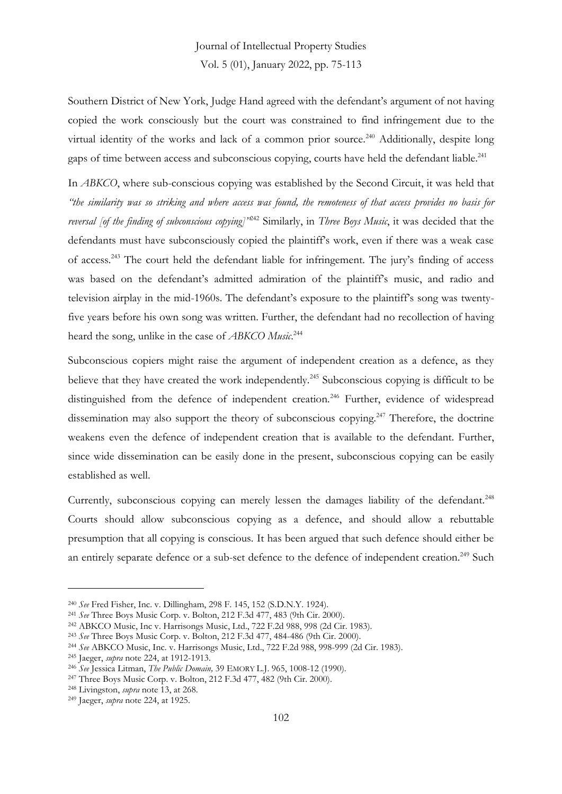Southern District of New York, Judge Hand agreed with the defendant's argument of not having copied the work consciously but the court was constrained to find infringement due to the virtual identity of the works and lack of a common prior source.<sup>240</sup> Additionally, despite long gaps of time between access and subconscious copying, courts have held the defendant liable.<sup>241</sup>

In *ABKCO*, where sub-conscious copying was established by the Second Circuit, it was held that *"the similarity was so striking and where access was found, the remoteness of that access provides no basis for reversal [of the finding of subconscious copying]"* <sup>242</sup> Similarly, in *Three Boys Music*, it was decided that the defendants must have subconsciously copied the plaintiff's work, even if there was a weak case of access.<sup>243</sup> The court held the defendant liable for infringement. The jury's finding of access was based on the defendant's admitted admiration of the plaintiff's music, and radio and television airplay in the mid-1960s. The defendant's exposure to the plaintiff's song was twentyfive years before his own song was written. Further, the defendant had no recollection of having heard the song, unlike in the case of *ABKCO Music*. 244

Subconscious copiers might raise the argument of independent creation as a defence, as they believe that they have created the work independently.<sup>245</sup> Subconscious copying is difficult to be distinguished from the defence of independent creation.<sup>246</sup> Further, evidence of widespread dissemination may also support the theory of subconscious copying.<sup>247</sup> Therefore, the doctrine weakens even the defence of independent creation that is available to the defendant. Further, since wide dissemination can be easily done in the present, subconscious copying can be easily established as well.

Currently, subconscious copying can merely lessen the damages liability of the defendant.<sup>248</sup> Courts should allow subconscious copying as a defence, and should allow a rebuttable presumption that all copying is conscious. It has been argued that such defence should either be an entirely separate defence or a sub-set defence to the defence of independent creation.<sup>249</sup> Such

<sup>240</sup> *See* Fred Fisher, Inc. v. Dillingham, 298 F. 145, 152 (S.D.N.Y. 1924).

<sup>241</sup> *See* Three Boys Music Corp. v. Bolton, 212 F.3d 477, 483 (9th Cir. 2000).

<sup>242</sup> ABKCO Music, Inc v. Harrisongs Music, Ltd., 722 F.2d 988, 998 (2d Cir. 1983).

<sup>243</sup> *See* Three Boys Music Corp. v. Bolton, 212 F.3d 477, 484-486 (9th Cir. 2000).

<sup>244</sup> *See* ABKCO Music, Inc. v. Harrisongs Music, Ltd., 722 F.2d 988, 998-999 (2d Cir. 1983).

<sup>245</sup> Jaeger, *supra* note 224, at 1912-1913.

<sup>246</sup> *See* Jessica Litman, *The Public Domain,* 39 EMORY L.J. 965, 1008-12 (1990).

<sup>247</sup> Three Boys Music Corp. v. Bolton, 212 F.3d 477, 482 (9th Cir. 2000).

<sup>248</sup> Livingston, *supra* note 13, at 268.

<sup>249</sup> Jaeger, *supra* note 224, at 1925.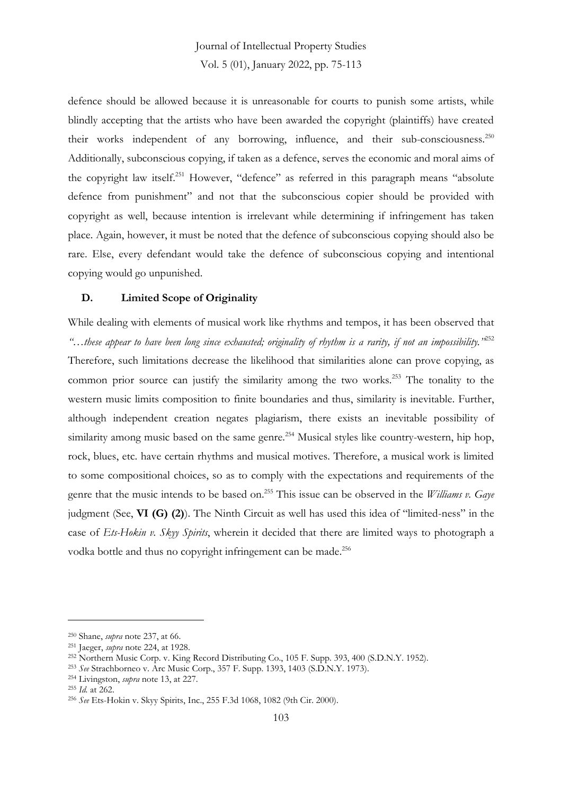defence should be allowed because it is unreasonable for courts to punish some artists, while blindly accepting that the artists who have been awarded the copyright (plaintiffs) have created their works independent of any borrowing, influence, and their sub-consciousness.<sup>250</sup> Additionally, subconscious copying, if taken as a defence, serves the economic and moral aims of the copyright law itself.<sup>251</sup> However, "defence" as referred in this paragraph means "absolute defence from punishment" and not that the subconscious copier should be provided with copyright as well, because intention is irrelevant while determining if infringement has taken place. Again, however, it must be noted that the defence of subconscious copying should also be rare. Else, every defendant would take the defence of subconscious copying and intentional copying would go unpunished.

#### **D. Limited Scope of Originality**

While dealing with elements of musical work like rhythms and tempos, it has been observed that *"…these appear to have been long since exhausted; originality of rhythm is a rarity, if not an impossibility."*<sup>252</sup> Therefore, such limitations decrease the likelihood that similarities alone can prove copying, as common prior source can justify the similarity among the two works.<sup>253</sup> The tonality to the western music limits composition to finite boundaries and thus, similarity is inevitable. Further, although independent creation negates plagiarism, there exists an inevitable possibility of similarity among music based on the same genre.<sup>254</sup> Musical styles like country-western, hip hop, rock, blues, etc. have certain rhythms and musical motives. Therefore, a musical work is limited to some compositional choices, so as to comply with the expectations and requirements of the genre that the music intends to be based on.<sup>255</sup> This issue can be observed in the *Williams v. Gaye* judgment (See, **VI (G) (2)**). The Ninth Circuit as well has used this idea of "limited-ness" in the case of *Ets-Hokin v. Skyy Spirits*, wherein it decided that there are limited ways to photograph a vodka bottle and thus no copyright infringement can be made.<sup>256</sup>

<sup>250</sup> Shane, *supra* note 237, at 66.

<sup>251</sup> Jaeger, *supra* note 224, at 1928.

<sup>252</sup> Northern Music Corp. v. King Record Distributing Co., 105 F. Supp. 393, 400 (S.D.N.Y. 1952).

<sup>253</sup> *See* Strachborneo v. Arc Music Corp., 357 F. Supp. 1393, 1403 (S.D.N.Y. 1973).

<sup>254</sup> Livingston, *supra* note 13, at 227.

<sup>255</sup> *Id.* at 262.

<sup>256</sup> *See* Ets-Hokin v. Skyy Spirits, Inc., 255 F.3d 1068, 1082 (9th Cir. 2000).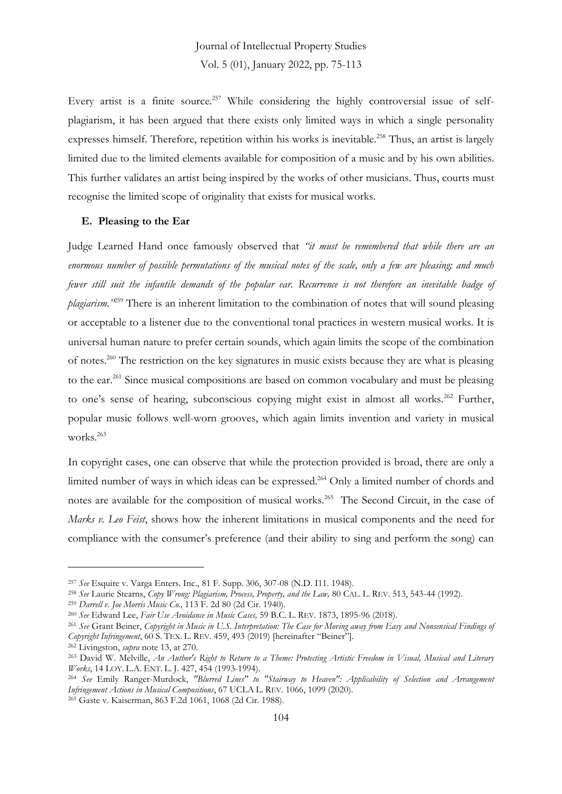Every artist is a finite source.<sup>257</sup> While considering the highly controversial issue of selfplagiarism, it has been argued that there exists only limited ways in which a single personality expresses himself. Therefore, repetition within his works is inevitable.<sup>258</sup> Thus, an artist is largely limited due to the limited elements available for composition of a music and by his own abilities. This further validates an artist being inspired by the works of other musicians. Thus, courts must recognise the limited scope of originality that exists for musical works.

#### **E. Pleasing to the Ear**

Judge Learned Hand once famously observed that *"it must be remembered that while there are an enormous number of possible permutations of the musical notes of the scale, only a few are pleasing; and much fewer still suit the infantile demands of the popular ear. Recurrence is not therefore an inevitable badge of plagiarism."*<sup>259</sup> There is an inherent limitation to the combination of notes that will sound pleasing or acceptable to a listener due to the conventional tonal practices in western musical works. It is universal human nature to prefer certain sounds, which again limits the scope of the combination of notes.<sup>260</sup> The restriction on the key signatures in music exists because they are what is pleasing to the ear.<sup>261</sup> Since musical compositions are based on common vocabulary and must be pleasing to one's sense of hearing, subconscious copying might exist in almost all works.<sup>262</sup> Further, popular music follows well-worn grooves, which again limits invention and variety in musical works.<sup>263</sup>

In copyright cases, one can observe that while the protection provided is broad, there are only a limited number of ways in which ideas can be expressed. <sup>264</sup> Only a limited number of chords and notes are available for the composition of musical works.<sup>265</sup> The Second Circuit, in the case of *Marks v. Leo Feist*, shows how the inherent limitations in musical components and the need for compliance with the consumer's preference (and their ability to sing and perform the song) can

<sup>265</sup> Gaste v. Kaiserman, 863 F.2d 1061, 1068 (2d Cir. 1988).

<sup>257</sup> *See* Esquire v. Varga Enters. Inc., 81 F. Supp. 306, 307-08 (N.D. I11. 1948).

<sup>258</sup> *See* Laurie Stearns, *Copy Wrong: Plagiarism, Process, Property, and the Law,* 80 CAL. L. REV. 513, 543-44 (1992).

<sup>259</sup> *Darrell v. Joe Morris Music Co.,* 113 F. 2d 80 (2d Cir. 1940)*.*

<sup>260</sup> *See* Edward Lee, *Fair Use Avoidance in Music Cases,* 59 B.C. L. REV. 1873, 1895-96 (2018).

<sup>261</sup> *See* Grant Beiner, *Copyright in Music in U.S. Interpretation: The Case for Moving away from Easy and Nonsensical Findings of Copyright Infringement*, 60 S. TEX. L. REV. 459, 493 (2019) [hereinafter "Beiner"].

<sup>262</sup> Livingston, *supra* note 13, at 270.

<sup>263</sup> David W. Melville, *An Author's Right to Return to a Theme: Protecting Artistic Freedom in Visual, Musical and Literary Works*, 14 LOY. L.A. ENT. L. J. 427, 454 (1993-1994).

<sup>264</sup> *See* Emily Ranger-Murdock, *"Blurred Lines" to "Stairway to Heaven": Applicability of Selection and Arrangement Infringement Actions in Musical Compositions*, 67 UCLA L. REV. 1066, 1099 (2020).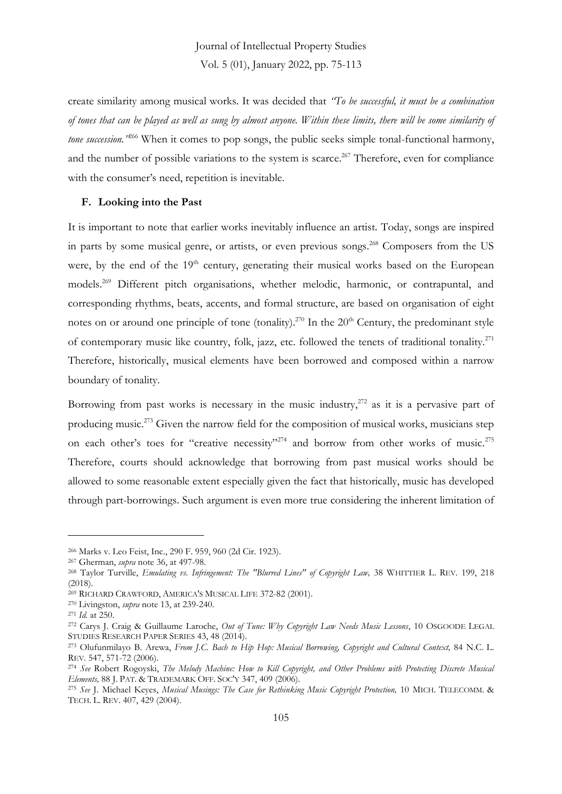create similarity among musical works. It was decided that *"To be successful, it must be a combination of tones that can be played as well as sung by almost anyone. Within these limits, there will be some similarity of tone succession.*"<sup>266</sup> When it comes to pop songs, the public seeks simple tonal-functional harmony, and the number of possible variations to the system is scarce.<sup>267</sup> Therefore, even for compliance with the consumer's need, repetition is inevitable.

#### **F. Looking into the Past**

It is important to note that earlier works inevitably influence an artist. Today, songs are inspired in parts by some musical genre, or artists, or even previous songs.<sup>268</sup> Composers from the US were, by the end of the 19<sup>th</sup> century, generating their musical works based on the European models.<sup>269</sup> Different pitch organisations, whether melodic, harmonic, or contrapuntal, and corresponding rhythms, beats, accents, and formal structure, are based on organisation of eight notes on or around one principle of tone (tonality).<sup>270</sup> In the 20<sup>th</sup> Century, the predominant style of contemporary music like country, folk, jazz, etc. followed the tenets of traditional tonality.<sup>271</sup> Therefore, historically, musical elements have been borrowed and composed within a narrow boundary of tonality.

Borrowing from past works is necessary in the music industry, $272$  as it is a pervasive part of producing music.<sup>273</sup> Given the narrow field for the composition of musical works, musicians step on each other's toes for "creative necessity"<sup>274</sup> and borrow from other works of music.<sup>275</sup> Therefore, courts should acknowledge that borrowing from past musical works should be allowed to some reasonable extent especially given the fact that historically, music has developed through part-borrowings. Such argument is even more true considering the inherent limitation of

<sup>266</sup> Marks v. Leo Feist, Inc., 290 F. 959, 960 (2d Cir. 1923).

<sup>267</sup> Gherman, *supra* note 36, at 497-98.

<sup>268</sup> Taylor Turville, *Emulating vs. Infringement: The "Blurred Lines" of Copyright Law,* 38 WHITTIER L. REV. 199, 218 (2018).

<sup>269</sup> RICHARD CRAWFORD, AMERICA'S MUSICAL LIFE 372-82 (2001).

<sup>270</sup> Livingston, *supra* note 13, at 239-240.

<sup>271</sup> *Id.* at 250.

<sup>272</sup> Carys J. Craig & Guillaume Laroche, *Out of Tune: Why Copyright Law Needs Music Lessons*, 10 OSGOODE LEGAL STUDIES RESEARCH PAPER SERIES 43, 48 (2014).

<sup>273</sup> Olufunmilayo B. Arewa, *From J.C. Bach to Hip Hop: Musical Borrowing, Copyright and Cultural Context,* 84 N.C. L. REV. 547, 571-72 (2006).

<sup>274</sup> *See* Robert Rogoyski, *The Melody Machine: How to Kill Copyright, and Other Problems with Protecting Discrete Musical Elements,* 88 J. PAT. & TRADEMARK OFF. SOC'Y 347, 409 (2006).

<sup>275</sup> *See* J. Michael Keyes, *Musical Musings: The Case for Rethinking Music Copyright Protection,* 10 MICH. TELECOMM. & TECH. L. REV. 407, 429 (2004).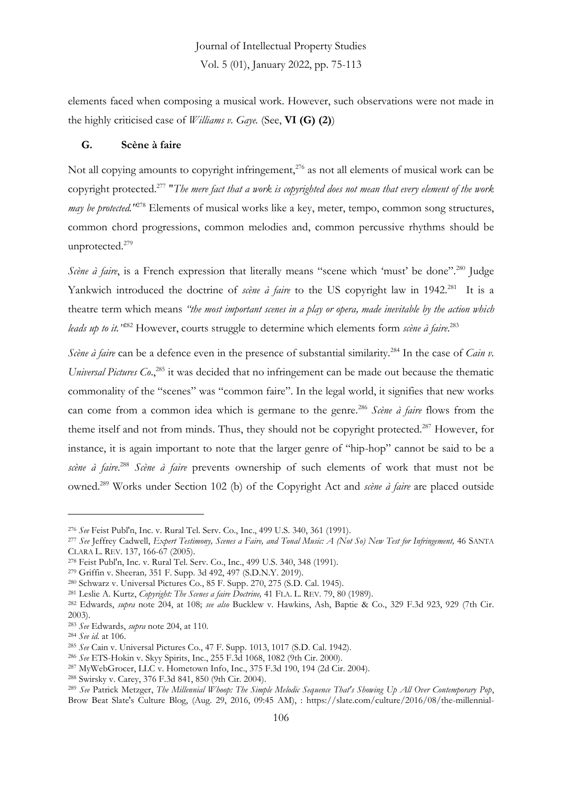elements faced when composing a musical work. However, such observations were not made in the highly criticised case of *Williams v. Gaye.* (See, **VI (G) (2)**)

#### **G. Scène à faire**

Not all copying amounts to copyright infringement, $276$  as not all elements of musical work can be copyright protected.<sup>277</sup> "*The mere fact that a work is copyrighted does not mean that every element of the work may be protected.*<sup>1278</sup> Elements of musical works like a key, meter, tempo, common song structures, common chord progressions, common melodies and, common percussive rhythms should be unprotected.<sup>279</sup>

*Scène à faire*, is a French expression that literally means "scene which 'must' be done".<sup>280</sup> Judge Yankwich introduced the doctrine of *scène à faire* to the US copyright law in 1942.<sup>281</sup> It is a theatre term which means *"the most important scenes in a play or opera, made inevitable by the action which leads up to it."*<sup>282</sup> However, courts struggle to determine which elements form *scène à faire*. 283

*Scène à faire* can be a defence even in the presence of substantial similarity.<sup>284</sup> In the case of *Cain v*. Universal Pictures Co.,<sup>285</sup> it was decided that no infringement can be made out because the thematic commonality of the "scenes" was "common faire". In the legal world, it signifies that new works can come from a common idea which is germane to the genre.<sup>286</sup> *Scène à faire* flows from the theme itself and not from minds. Thus, they should not be copyright protected.<sup>287</sup> However, for instance, it is again important to note that the larger genre of "hip-hop" cannot be said to be a *scène à faire*. <sup>288</sup> *Scène à faire* prevents ownership of such elements of work that must not be owned.<sup>289</sup> Works under Section 102 (b) of the Copyright Act and *scène à faire* are placed outside

<sup>276</sup> *See* Feist Publ'n, Inc. v. Rural Tel. Serv. Co., Inc., 499 U.S. 340, 361 (1991).

<sup>277</sup> *See* Jeffrey Cadwell, *Expert Testimony, Scenes a Faire, and Tonal Music: A (Not So) New Test for Infringement,* 46 SANTA CLARA L. REV. 137, 166-67 (2005).

<sup>278</sup> Feist Publ'n, Inc. v. Rural Tel. Serv. Co., Inc., 499 U.S. 340, 348 (1991).

<sup>279</sup> Griffin v. Sheeran*,* 351 F. Supp. 3d 492, 497 (S.D.N.Y. 2019).

<sup>280</sup> Schwarz v. Universal Pictures Co., 85 F. Supp. 270, 275 (S.D. Cal. 1945).

<sup>281</sup> Leslie A. Kurtz, *Copyright: The Scenes a faire Doctrine,* 41 FLA. L. REV. 79, 80 (1989).

<sup>282</sup> Edwards, *supra* note 204, at 108; *see also* Bucklew v. Hawkins, Ash, Baptie & Co., 329 F.3d 923, 929 (7th Cir. 2003).

<sup>283</sup> *See* Edwards, *supra* note 204, at 110.

<sup>284</sup> *See id.* at 106.

<sup>285</sup> *See* Cain v. Universal Pictures Co., 47 F. Supp. 1013, 1017 (S.D. Cal. 1942).

<sup>286</sup> *See* ETS-Hokin v. Skyy Spirits, Inc., 255 F.3d 1068, 1082 (9th Cir. 2000).

<sup>287</sup> MyWebGrocer, LLC v. Hometown Info, Inc., 375 F.3d 190, 194 (2d Cir. 2004).

<sup>288</sup> Swirsky v. Carey, 376 F.3d 841, 850 (9th Cir. 2004).

<sup>289</sup> *See* Patrick Metzger, *The Millennial Whoop: The Simple Melodic Sequence That's Showing Up All Over Contemporary Pop*, Brow Beat Slate's Culture Blog, (Aug. 29, 2016, 09:45 AM), : https://slate.com/culture/2016/08/the-millennial-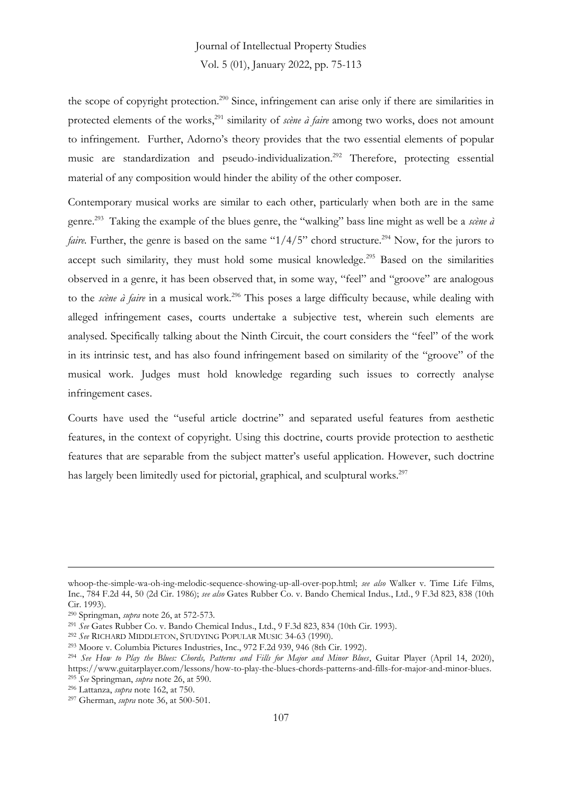the scope of copyright protection.<sup>290</sup> Since, infringement can arise only if there are similarities in protected elements of the works,<sup>291</sup> similarity of *scène à faire* among two works, does not amount to infringement. Further, Adorno's theory provides that the two essential elements of popular music are standardization and pseudo-individualization.<sup>292</sup> Therefore, protecting essential material of any composition would hinder the ability of the other composer.

Contemporary musical works are similar to each other, particularly when both are in the same genre.<sup>293</sup> Taking the example of the blues genre, the "walking" bass line might as well be a *scène à faire.* Further, the genre is based on the same " $1/4/5$ " chord structure.<sup>294</sup> Now, for the jurors to accept such similarity, they must hold some musical knowledge.<sup>295</sup> Based on the similarities observed in a genre, it has been observed that, in some way, "feel" and "groove" are analogous to the *scène à faire* in a musical work.<sup>296</sup> This poses a large difficulty because, while dealing with alleged infringement cases, courts undertake a subjective test, wherein such elements are analysed. Specifically talking about the Ninth Circuit, the court considers the "feel" of the work in its intrinsic test, and has also found infringement based on similarity of the "groove" of the musical work. Judges must hold knowledge regarding such issues to correctly analyse infringement cases.

Courts have used the "useful article doctrine" and separated useful features from aesthetic features, in the context of copyright. Using this doctrine, courts provide protection to aesthetic features that are separable from the subject matter's useful application. However, such doctrine has largely been limitedly used for pictorial, graphical, and sculptural works.<sup>297</sup>

whoop-the-simple-wa-oh-ing-melodic-sequence-showing-up-all-over-pop.html; *see also* Walker v. Time Life Films, Inc., 784 F.2d 44, 50 (2d Cir. 1986); *see also* Gates Rubber Co. v. Bando Chemical Indus., Ltd., 9 F.3d 823, 838 (10th Cir. 1993).

<sup>290</sup> Springman, *supra* note 26, at 572-573.

<sup>291</sup> *See* Gates Rubber Co. v. Bando Chemical Indus., Ltd., 9 F.3d 823, 834 (10th Cir. 1993).

<sup>292</sup> *See* RICHARD MIDDLETON, STUDYING POPULAR MUSIC 34-63 (1990).

<sup>293</sup> Moore v. Columbia Pictures Industries, Inc., 972 F.2d 939, 946 (8th Cir. 1992).

<sup>294</sup> *See How to Play the Blues: Chords, Patterns and Fills for Major and Minor Blues*, Guitar Player (April 14, 2020), https://www.guitarplayer.com/lessons/how-to-play-the-blues-chords-patterns-and-fills-for-major-and-minor-blues. <sup>295</sup> *See* Springman, *supra* note 26, at 590.

<sup>296</sup> Lattanza, *supra* note 162, at 750.

<sup>297</sup> Gherman, *supra* note 36, at 500-501.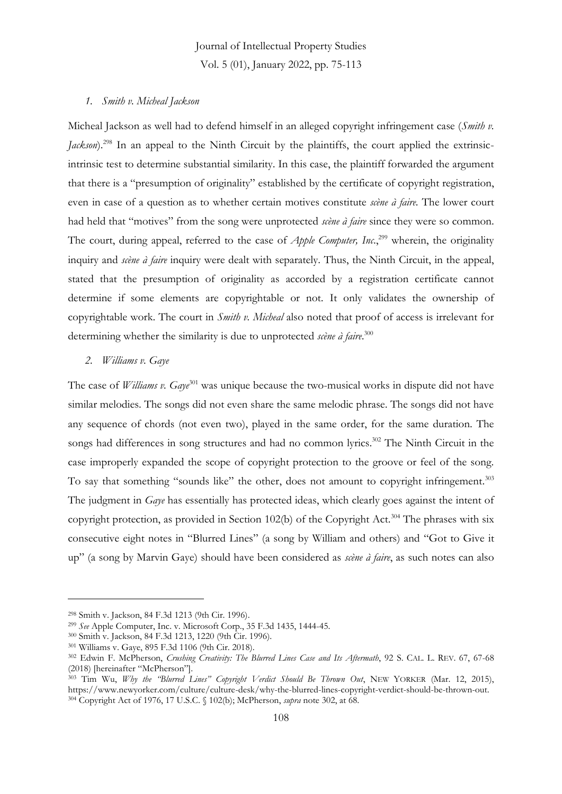#### *1. Smith v. Micheal Jackson*

Micheal Jackson as well had to defend himself in an alleged copyright infringement case (*Smith v. Jackson*).<sup>298</sup> In an appeal to the Ninth Circuit by the plaintiffs, the court applied the extrinsicintrinsic test to determine substantial similarity. In this case, the plaintiff forwarded the argument that there is a "presumption of originality" established by the certificate of copyright registration, even in case of a question as to whether certain motives constitute *scène à faire.* The lower court had held that "motives" from the song were unprotected *scène à faire* since they were so common. The court, during appeal, referred to the case of *Apple Computer, Inc*., <sup>299</sup> wherein, the originality inquiry and *scène à faire* inquiry were dealt with separately. Thus, the Ninth Circuit, in the appeal, stated that the presumption of originality as accorded by a registration certificate cannot determine if some elements are copyrightable or not. It only validates the ownership of copyrightable work. The court in *Smith v. Micheal* also noted that proof of access is irrelevant for determining whether the similarity is due to unprotected *scène à faire*. 300

#### *2. Williams v. Gaye*

The case of *Williams v. Gaye*<sup>301</sup> was unique because the two-musical works in dispute did not have similar melodies. The songs did not even share the same melodic phrase. The songs did not have any sequence of chords (not even two), played in the same order, for the same duration. The songs had differences in song structures and had no common lyrics.<sup>302</sup> The Ninth Circuit in the case improperly expanded the scope of copyright protection to the groove or feel of the song. To say that something "sounds like" the other, does not amount to copyright infringement.<sup>303</sup> The judgment in *Gaye* has essentially has protected ideas, which clearly goes against the intent of copyright protection, as provided in Section 102(b) of the Copyright Act.<sup>304</sup> The phrases with six consecutive eight notes in "Blurred Lines" (a song by William and others) and "Got to Give it up" (a song by Marvin Gaye) should have been considered as *scène à faire*, as such notes can also

<sup>298</sup> Smith v. Jackson, 84 F.3d 1213 (9th Cir. 1996).

<sup>299</sup> *See* Apple Computer, Inc. v. Microsoft Corp., 35 F.3d 1435, 1444-45.

<sup>300</sup> Smith v. Jackson, 84 F.3d 1213, 1220 (9th Cir. 1996).

<sup>301</sup> Williams v. Gaye, 895 F.3d 1106 (9th Cir. 2018).

<sup>302</sup> Edwin F. McPherson, *Crushing Creativity: The Blurred Lines Case and Its Aftermath*, 92 S. CAL. L. REV. 67, 67-68 (2018) [hereinafter "McPherson"].

<sup>303</sup> Tim Wu, *Why the "Blurred Lines" Copyright Verdict Should Be Thrown Out*, NEW YORKER (Mar. 12, 2015), https://www.newyorker.com/culture/culture-desk/why-the-blurred-lines-copyright-verdict-should-be-thrown-out. <sup>304</sup> Copyright Act of 1976, 17 U.S.C. § 102(b); McPherson, *supra* note 302, at 68.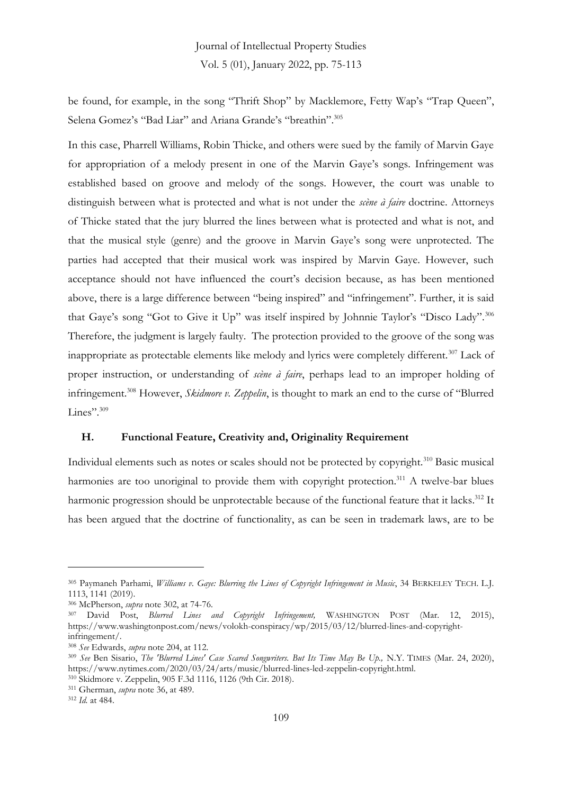be found, for example, in the song "Thrift Shop" by Macklemore, Fetty Wap's "Trap Queen", Selena Gomez's "Bad Liar" and Ariana Grande's "breathin".<sup>305</sup>

In this case, Pharrell Williams, Robin Thicke, and others were sued by the family of Marvin Gaye for appropriation of a melody present in one of the Marvin Gaye's songs. Infringement was established based on groove and melody of the songs. However, the court was unable to distinguish between what is protected and what is not under the *scène à faire* doctrine. Attorneys of Thicke stated that the jury blurred the lines between what is protected and what is not, and that the musical style (genre) and the groove in Marvin Gaye's song were unprotected. The parties had accepted that their musical work was inspired by Marvin Gaye. However, such acceptance should not have influenced the court's decision because, as has been mentioned above, there is a large difference between "being inspired" and "infringement". Further, it is said that Gaye's song "Got to Give it Up" was itself inspired by Johnnie Taylor's "Disco Lady".<sup>306</sup> Therefore, the judgment is largely faulty. The protection provided to the groove of the song was inappropriate as protectable elements like melody and lyrics were completely different.<sup>307</sup> Lack of proper instruction, or understanding of *scène à faire*, perhaps lead to an improper holding of infringement.<sup>308</sup> However, *Skidmore v. Zeppelin*, is thought to mark an end to the curse of "Blurred Lines".<sup>309</sup>

#### **H. Functional Feature, Creativity and, Originality Requirement**

Individual elements such as notes or scales should not be protected by copyright.<sup>310</sup> Basic musical harmonies are too unoriginal to provide them with copyright protection.<sup>311</sup> A twelve-bar blues harmonic progression should be unprotectable because of the functional feature that it lacks.<sup>312</sup> It has been argued that the doctrine of functionality, as can be seen in trademark laws, are to be

<sup>305</sup> Paymaneh Parhami, *Williams v. Gaye: Blurring the Lines of Copyright Infringement in Music*, 34 BERKELEY TECH. L.J. 1113, 1141 (2019).

<sup>306</sup> McPherson, *supra* note 302, at 74-76.

<sup>307</sup> David Post, *Blurred Lines and Copyright Infringement,* WASHINGTON POST (Mar. 12, 2015), https://www.washingtonpost.com/news/volokh-conspiracy/wp/2015/03/12/blurred-lines-and-copyrightinfringement/.

<sup>308</sup> *See* Edwards, *supra* note 204, at 112.

<sup>309</sup> *See* Ben Sisario, *The 'Blurred Lines' Case Scared Songwriters. But Its Time May Be Up.,* N.Y. TIMES (Mar. 24, 2020), https://www.nytimes.com/2020/03/24/arts/music/blurred-lines-led-zeppelin-copyright.html.

<sup>310</sup> Skidmore v. Zeppelin, 905 F.3d 1116, 1126 (9th Cir. 2018).

<sup>311</sup> Gherman, *supra* note 36, at 489.

<sup>312</sup> *Id.* at 484.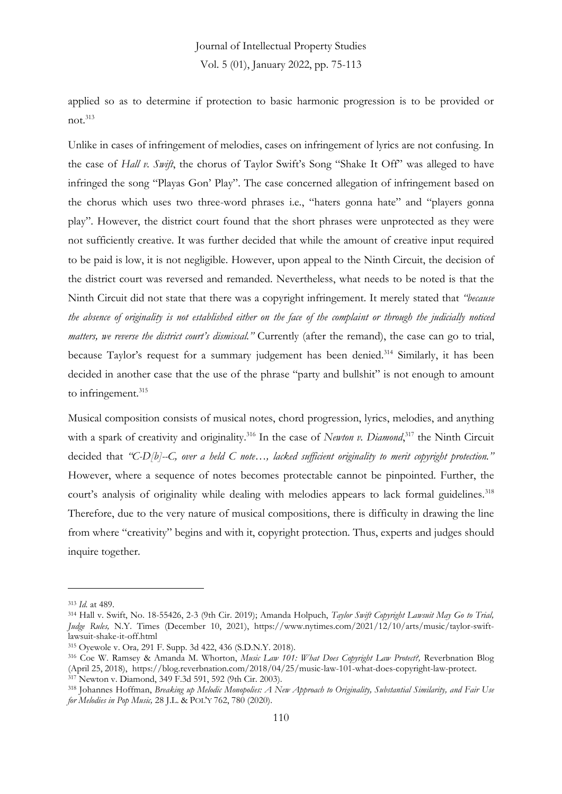applied so as to determine if protection to basic harmonic progression is to be provided or  $not.<sup>313</sup>$ 

Unlike in cases of infringement of melodies, cases on infringement of lyrics are not confusing. In the case of *Hall v. Swift*, the chorus of Taylor Swift's Song "Shake It Off" was alleged to have infringed the song "Playas Gon' Play". The case concerned allegation of infringement based on the chorus which uses two three-word phrases i.e., "haters gonna hate" and "players gonna play". However, the district court found that the short phrases were unprotected as they were not sufficiently creative. It was further decided that while the amount of creative input required to be paid is low, it is not negligible. However, upon appeal to the Ninth Circuit, the decision of the district court was reversed and remanded. Nevertheless, what needs to be noted is that the Ninth Circuit did not state that there was a copyright infringement. It merely stated that *"because the absence of originality is not established either on the face of the complaint or through the judicially noticed matters, we reverse the district court's dismissal."* Currently (after the remand), the case can go to trial, because Taylor's request for a summary judgement has been denied.<sup>314</sup> Similarly, it has been decided in another case that the use of the phrase "party and bullshit" is not enough to amount to infringement.<sup>315</sup>

Musical composition consists of musical notes, chord progression, lyrics, melodies, and anything with a spark of creativity and originality.<sup>316</sup> In the case of *Newton v. Diamond*,<sup>317</sup> the Ninth Circuit decided that *"C-D[b]--C, over a held C note…, lacked sufficient originality to merit copyright protection."*  However, where a sequence of notes becomes protectable cannot be pinpointed. Further, the court's analysis of originality while dealing with melodies appears to lack formal guidelines.<sup>318</sup> Therefore, due to the very nature of musical compositions, there is difficulty in drawing the line from where "creativity" begins and with it, copyright protection. Thus, experts and judges should inquire together.

<sup>313</sup> *Id.* at 489.

<sup>314</sup> Hall v. Swift, No. 18-55426, 2-3 (9th Cir. 2019); Amanda Holpuch, *Taylor Swift Copyright Lawsuit May Go to Trial, Judge Rules,* N.Y. Times (December 10, 2021), https://www.nytimes.com/2021/12/10/arts/music/taylor-swiftlawsuit-shake-it-off.html

<sup>315</sup> Oyewole v. Ora*,* 291 F. Supp. 3d 422, 436 (S.D.N.Y. 2018).

<sup>316</sup> Coe W. Ramsey & Amanda M. Whorton, *Music Law 101: What Does Copyright Law Protect?,* Reverbnation Blog (April 25, 2018), https://blog.reverbnation.com/2018/04/25/music-law-101-what-does-copyright-law-protect. <sup>317</sup> Newton v. Diamond, 349 F.3d 591, 592 (9th Cir. 2003).

<sup>318</sup> Johannes Hoffman, *Breaking up Melodic Monopolies: A New Approach to Originality, Substantial Similarity, and Fair Use for Melodies in Pop Music,* 28 J.L. & POL'Y 762, 780 (2020).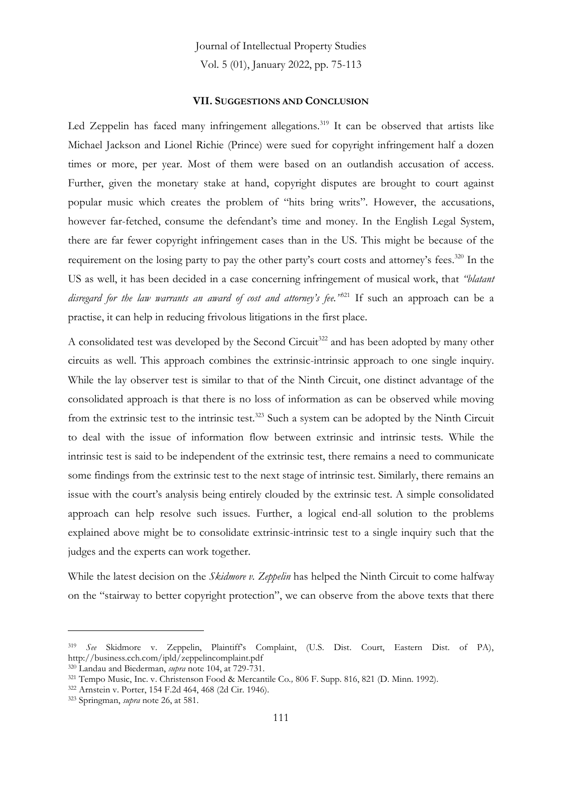#### **VII. SUGGESTIONS AND CONCLUSION**

Led Zeppelin has faced many infringement allegations.<sup>319</sup> It can be observed that artists like Michael Jackson and Lionel Richie (Prince) were sued for copyright infringement half a dozen times or more, per year. Most of them were based on an outlandish accusation of access. Further, given the monetary stake at hand, copyright disputes are brought to court against popular music which creates the problem of "hits bring writs". However, the accusations, however far-fetched, consume the defendant's time and money. In the English Legal System, there are far fewer copyright infringement cases than in the US. This might be because of the requirement on the losing party to pay the other party's court costs and attorney's fees.<sup>320</sup> In the US as well, it has been decided in a case concerning infringement of musical work, that *"blatant*  disregard for the law warrants an award of cost and attorney's fee.<sup>3521</sup> If such an approach can be a practise, it can help in reducing frivolous litigations in the first place.

A consolidated test was developed by the Second Circuit<sup>322</sup> and has been adopted by many other circuits as well. This approach combines the extrinsic-intrinsic approach to one single inquiry. While the lay observer test is similar to that of the Ninth Circuit, one distinct advantage of the consolidated approach is that there is no loss of information as can be observed while moving from the extrinsic test to the intrinsic test.<sup>323</sup> Such a system can be adopted by the Ninth Circuit to deal with the issue of information flow between extrinsic and intrinsic tests. While the intrinsic test is said to be independent of the extrinsic test, there remains a need to communicate some findings from the extrinsic test to the next stage of intrinsic test. Similarly, there remains an issue with the court's analysis being entirely clouded by the extrinsic test. A simple consolidated approach can help resolve such issues. Further, a logical end-all solution to the problems explained above might be to consolidate extrinsic-intrinsic test to a single inquiry such that the judges and the experts can work together.

While the latest decision on the *Skidmore v. Zeppelin* has helped the Ninth Circuit to come halfway on the "stairway to better copyright protection", we can observe from the above texts that there

<sup>319</sup> *See* Skidmore v. Zeppelin, Plaintiff's Complaint, (U.S. Dist. Court, Eastern Dist. of PA), http://business.cch.com/ipld/zeppelincomplaint.pdf

<sup>320</sup> Landau and Biederman, *supra* note 104, at 729-731.

<sup>321</sup> Tempo Music, Inc. v. Christenson Food & Mercantile Co*.,* 806 F. Supp. 816, 821 (D. Minn. 1992).

<sup>322</sup> Arnstein v. Porter, 154 F.2d 464, 468 (2d Cir. 1946).

<sup>323</sup> Springman, *supra* note 26, at 581.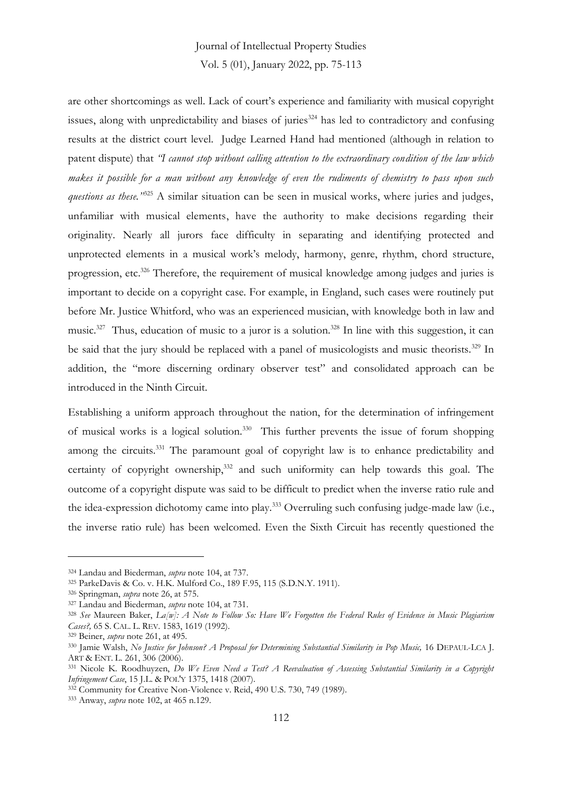### Journal of Intellectual Property Studies

Vol. 5 (01), January 2022, pp. 75-113

are other shortcomings as well. Lack of court's experience and familiarity with musical copyright issues, along with unpredictability and biases of juries<sup>324</sup> has led to contradictory and confusing results at the district court level. Judge Learned Hand had mentioned (although in relation to patent dispute) that *"I cannot stop without calling attention to the extraordinary condition of the law which makes it possible for a man without any knowledge of even the rudiments of chemistry to pass upon such questions as these."*<sup>325</sup> A similar situation can be seen in musical works, where juries and judges, unfamiliar with musical elements, have the authority to make decisions regarding their originality. Nearly all jurors face difficulty in separating and identifying protected and unprotected elements in a musical work's melody, harmony, genre, rhythm, chord structure, progression, etc.<sup>326</sup> Therefore, the requirement of musical knowledge among judges and juries is important to decide on a copyright case. For example, in England, such cases were routinely put before Mr. Justice Whitford, who was an experienced musician, with knowledge both in law and music.<sup>327</sup> Thus, education of music to a juror is a solution.<sup>328</sup> In line with this suggestion, it can be said that the jury should be replaced with a panel of musicologists and music theorists.<sup>329</sup> In addition, the "more discerning ordinary observer test" and consolidated approach can be introduced in the Ninth Circuit.

Establishing a uniform approach throughout the nation, for the determination of infringement of musical works is a logical solution.<sup>330</sup> This further prevents the issue of forum shopping among the circuits.<sup>331</sup> The paramount goal of copyright law is to enhance predictability and certainty of copyright ownership,<sup>332</sup> and such uniformity can help towards this goal. The outcome of a copyright dispute was said to be difficult to predict when the inverse ratio rule and the idea-expression dichotomy came into play.<sup>333</sup> Overruling such confusing judge-made law (i.e., the inverse ratio rule) has been welcomed. Even the Sixth Circuit has recently questioned the

<sup>333</sup> Anway, *supra* note 102, at 465 n.129.

<sup>324</sup> Landau and Biederman, *supra* note 104, at 737.

<sup>325</sup> ParkeDavis & Co. v. H.K. Mulford Co., 189 F.95, 115 (S.D.N.Y. 1911).

<sup>326</sup> Springman, *supra* note 26, at 575.

<sup>327</sup> Landau and Biederman, *supra* note 104, at 731.

<sup>328</sup> *See* Maureen Baker, *La[w]: A Note to Follow So: Have We Forgotten the Federal Rules of Evidence in Music Plagiarism Cases?,* 65 S. CAL. L. REV. 1583, 1619 (1992).

<sup>329</sup> Beiner, *supra* note 261, at 495.

<sup>330</sup> Jamie Walsh, No Justice for Johnson? A Proposal for Determining Substantial Similarity in Pop Music, 16 DEPAUL-LCA J. ART & ENT. L. 261, 306 (2006).

<sup>331</sup> Nicole K. Roodhuyzen, *Do We Even Need a Test? A Reevaluation of Assessing Substantial Similarity in a Copyright Infringement Case*, 15 J.L. & POL'Y 1375, 1418 (2007).

<sup>&</sup>lt;sup>332</sup> Community for Creative Non-Violence v. Reid, 490 U.S. 730, 749 (1989).